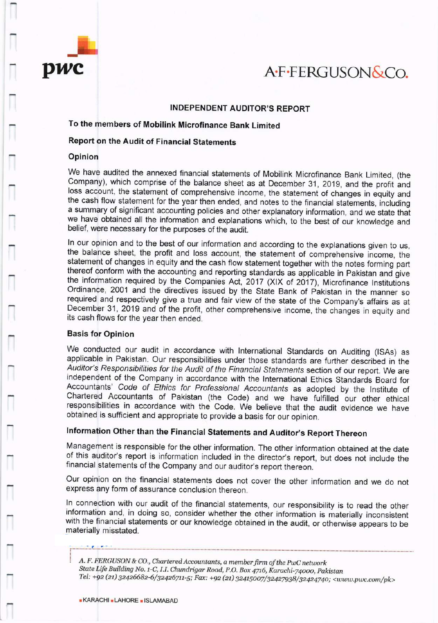

# pwc AFFERGUSON&CO.

## INDEPENDENT AUDITOR'S REPORT

## To the members of Mobilink Microfinance Bank Limited

## Report on the Audit of Financia! Statements

## Opinion

We have audited the annexed financial statements of Mobilink Microfinance Bank Limited, (the Company), which comprise of the balance sheet as at December 31 , 2019, and the profit and loss account, the statement of comprehensive income, the statement of changes in equity and the cash flow statement for the year then ended, and notes to the financial statements, including a summary of significant accounting policies and other explanatory information, and we state that we have obtained all the information and explanations which, to ine best of our knowledge and belief, were necessary for the purposes of the audit.

ln our opinion and to the best of our information and according to the explanations given to us, the balance sheet, the profit and loss account, the statement of comprehensive income, the statement of changes in equity and the cash flow statement together with the notes forming part thereof conform with the accounting and reporting standards as applicable in Pakistan and give the information required by the Companies Act, 2017 (XlX of 2017), Microfinance lnstitutions Ordinance, 2001 and the directives issued by the State Bank of pakistan in the manner so required and respectively give a true and fair view of the state of the Company's affairs as at December 31, 2019 and of the profit, other comprehensive income, the changes in equity and its cash flows for the year then ended.

### Basis for Opinion

We conducted our audit in accordance with International Standards on Auditing (ISAs) as applicable in Pakistan. Our responsibilities under those standards are further described in the Auditor's Responsibilities for the Audit of the Financial Statements section of our report. We are independent of the Company in accordance with the lnternational Ethics Standards Board for Accountants' Code of Ethics for Professional Accountanfs as adopted by the lnstitute of Chartered Accountants of Pakistan (the Code) and we have fuifilted our other ethical responsibilities in accordance with the Code. We believe that the audit evidence we have obtained is sufficient and appropriate to provide a basis for our opinion.

## lnformation Other than the Financial Statements and Auditor's Report Thereon

Management is responsible for the other information. The other information obtained at the date of this auditor's report is information included in the director's report, but does not include the financial statements of the company and our auditor's report thereon.

Our opinion on the financial statements does not cover the other information and we do not express any form of assurance conclusion thereon.

ln connection with our audit of the financial statements, our responsibility is to read the other information and, in doing so, consider whether the other information is materially inconsistent with the financial statements or our knowledge obtained in the audit, or otherwise appears to be materially misstated.

A. F. FERGUSON & CO., Chartered Accountants, a member firm of the PwC network State Life Building No. 1-C, I.I. Chundrigar Road, P.O. Box 4716, Karachi-74000, Pakistan Tel: +92 (21) 32426682-6/32426711-5; Fax: +92 (21) 32415007/32427938/32424740; <www.pwc.com/pk>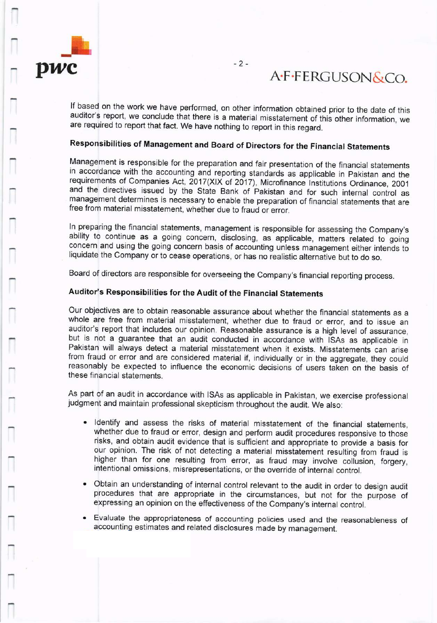

## A.F.FERGUSON&Co.

lf based on the work we have performed, on other information obtained prior to the date of this auditor's report, we conclude that there is a material misstatement of this other information, we are required to report that fact. we have nothing to report in this regard.

## Responsibilities of Management and Board of Directors for the Financial Statements

Management is responsible for the preparation and fair presentation of the financial statements<br>in accordance with the accounting and reporting standards as applicable in Pakistan and the<br>requirements of Companies Act, 201 management determines is necessary to enable the preparation of financial statements that are free from material misstatement, whether due to fraud orerror.

In preparing the financial statements, management is responsible for assessing the Company's ability to continue as a going concern, disclosing, as applicable, matters related to going concern and using the going concern basis of accounting unless management either intends to liquidate the Company or to cease operations, or has no realistic alternative but to do so.

Board of directors are responsible for overseeing the Company's financial reporting process.

## Auditor's Responsibilities for the Audit of the Financial Statements

Our objectives are to obtain reasonable assurance about whether the financial statements as <sup>a</sup> whole are free from material misstatement, whether due to fraud or error, and to issue an auditor's report that includes our opinion. Reasonable assurance is a high level of assurance, but is not a guarantee that an audit conducted in accordance with ISAs as applicable in Pakistan will always detect a material misstatement when it exists. Misstatements can arise from fraud or error and are considered material if, individually or in the aggregate, they could reasonably be expected to influence the economic decisions of users taken on the basis of these financial statements.

As part of an audit in accordance with lSAs as applicable in Pakistan, we exercise professional judgment and maintain professional skepticism throughout the audit. We also:

- . Identify and assess the risks of material misstatement of the financial statements, whether due to fraud or error, design and perform audit procedures responsive to those risks, and obtain audit evidence that is sufficient and appropriate to provide a basis for our opinion. The risk of not detecting a material misstatement resulting from fraud is higher than for one resulting from error, as fraud may involve collusion, forgery, intentional omissions, misrepresentations, or the override of internal control.
- Obtain an understanding of internal control relevant to the audit in order to design audit procedures that are appropriate in the circumstances, but not for the purpose of expressing an opinion on the effectiveness of the Company's internal control.
- o Evaluate the appropriateness of accounting policies used and the reasonableness of accounting estimates and related disclosures made by management.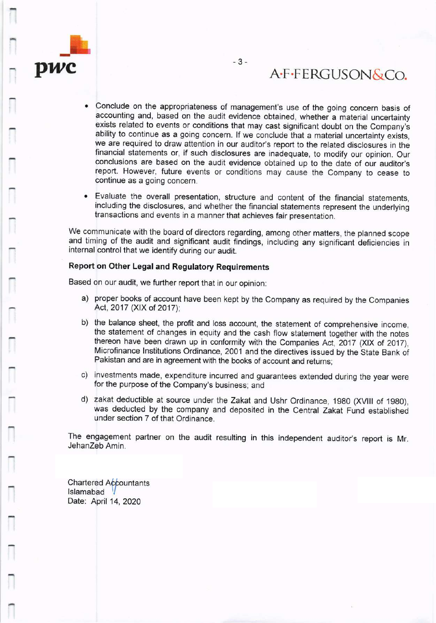

# A.F.FERGUSON&Co.

- . Conclude on the appropriateness of management's use of the going concern basis of accounting and, based on the audit evidence obtained, whether a material uncertainty exists related to events or conditions that may cast significant doubt on the Company's ability to continue as a going concern. If we conclude that a material uncertainty exists, we are required to draw attention in our auditor's report to the related disclosures in the financial statements or, if such disclosures are inadequate, to modify our opinion. Our conclusions are based on the audit evidence obtained up to the date of our auditor's report. However, future events or conditions may cause the Company to cease to continue as a going concern.
- o Evaluate the overall presentation, structure and content of the financial statements, including the disclosures, and whether the financial statements represent the underlying transactions and events in a manner that achieves fair presentation.

We communicate with the board of directors regarding, among other matters, the planned scope and timing of the audit and significant audit findings, including any significant deficiencies in internal control that we identify during our audit.

#### Report on Other Legal and Regulatory Requirements

Based on our audit, we further report that in our opinion:

- a) proper books of account have been kept by the Company as required by the Companies Act, 2017 (XlX of 2017);
- b) the balance sheet, the profit and loss account, the statement of comprehensive income, the statement of changes in equity and the cash flow statement together with the notes thereon have been drawn up in conformity with the Companies Act, 2017 (XlX of 2017), Microfinance Institutions Ordinance, 2001 and the directives issued by the State Bank of Pakistan and are in agreement with the books of account and returns;
- c) investments made, expenditure incurred and guarantees extended during the year were for the purpose of the Company's business; and
- d) zakat deductible at source under the Zakat and Ushr Ordinance, 1980 (XVIII of 1980), was deducted by the company and deposited in the Central Zakat Fund established under section 7 of that Ordinance.

The engagement partner on the audit resulting in this independent auditor's report is Mr. JehanZeb Amin.

**Chartered Accountants** Islamabad Date: April 14, 2020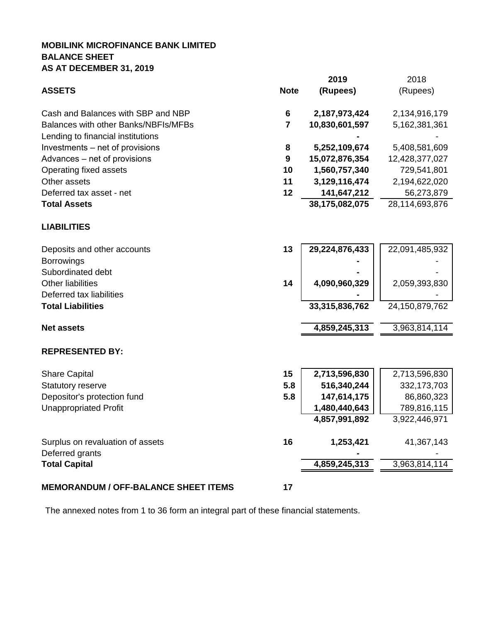## **MOBILINK MICROFINANCE BANK LIMITED BALANCE SHEET AS AT DECEMBER 31, 2019**

|                                             |                  | 2019           | 2018           |
|---------------------------------------------|------------------|----------------|----------------|
| <b>ASSETS</b>                               | <b>Note</b>      | (Rupees)       | (Rupees)       |
| Cash and Balances with SBP and NBP          | 6                | 2,187,973,424  | 2,134,916,179  |
| Balances with other Banks/NBFIs/MFBs        | $\overline{7}$   | 10,830,601,597 | 5,162,381,361  |
| Lending to financial institutions           |                  |                |                |
| Investments – net of provisions             | 8                | 5,252,109,674  | 5,408,581,609  |
| Advances - net of provisions                | $\boldsymbol{9}$ | 15,072,876,354 | 12,428,377,027 |
| Operating fixed assets                      | 10               | 1,560,757,340  | 729,541,801    |
| Other assets                                | 11               | 3,129,116,474  | 2,194,622,020  |
| Deferred tax asset - net                    | 12               | 141,647,212    | 56,273,879     |
| <b>Total Assets</b>                         |                  | 38,175,082,075 | 28,114,693,876 |
| <b>LIABILITIES</b>                          |                  |                |                |
| Deposits and other accounts                 | 13               | 29,224,876,433 | 22,091,485,932 |
| <b>Borrowings</b>                           |                  |                |                |
| Subordinated debt                           |                  |                |                |
| <b>Other liabilities</b>                    | 14               | 4,090,960,329  | 2,059,393,830  |
| Deferred tax liabilities                    |                  |                |                |
| <b>Total Liabilities</b>                    |                  | 33,315,836,762 | 24,150,879,762 |
| <b>Net assets</b>                           |                  | 4,859,245,313  | 3,963,814,114  |
| <b>REPRESENTED BY:</b>                      |                  |                |                |
| <b>Share Capital</b>                        | 15               | 2,713,596,830  | 2,713,596,830  |
| Statutory reserve                           | 5.8              | 516,340,244    | 332, 173, 703  |
| Depositor's protection fund                 | 5.8              | 147,614,175    | 86,860,323     |
| <b>Unappropriated Profit</b>                |                  | 1,480,440,643  | 789,816,115    |
|                                             |                  | 4,857,991,892  | 3,922,446,971  |
| Surplus on revaluation of assets            | 16               | 1,253,421      | 41,367,143     |
| Deferred grants                             |                  |                |                |
| <b>Total Capital</b>                        |                  | 4,859,245,313  | 3,963,814,114  |
| <b>MEMORANDUM / OFF-BALANCE SHEET ITEMS</b> | 17               |                |                |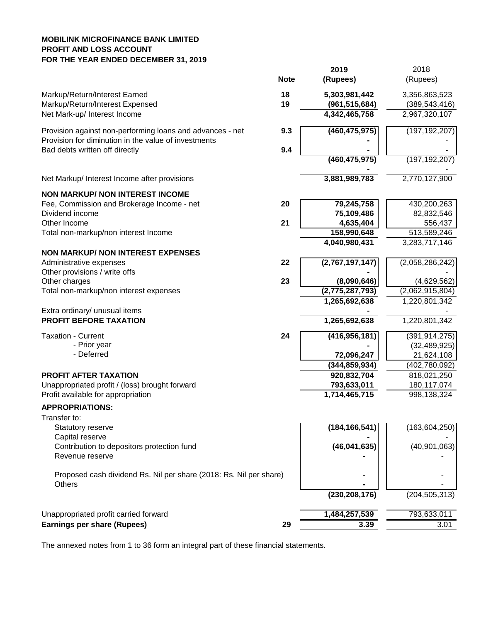## **MOBILINK MICROFINANCE BANK LIMITED PROFIT AND LOSS ACCOUNT FOR THE YEAR ENDED DECEMBER 31, 2019**

|                                                                              | <b>Note</b> | 2019<br>(Rupees) | 2018<br>(Rupees) |
|------------------------------------------------------------------------------|-------------|------------------|------------------|
| Markup/Return/Interest Earned                                                | 18          | 5,303,981,442    | 3,356,863,523    |
| Markup/Return/Interest Expensed                                              | 19          | (961, 515, 684)  | (389, 543, 416)  |
| Net Mark-up/ Interest Income                                                 |             | 4,342,465,758    | 2,967,320,107    |
| Provision against non-performing loans and advances - net                    | 9.3         | (460, 475, 975)  | (197, 192, 207)  |
| Provision for diminution in the value of investments                         |             |                  |                  |
| Bad debts written off directly                                               | 9.4         |                  |                  |
|                                                                              |             | (460, 475, 975)  | (197, 192, 207)  |
| Net Markup/ Interest Income after provisions                                 |             | 3,881,989,783    | 2,770,127,900    |
| <b>NON MARKUP/ NON INTEREST INCOME</b>                                       |             |                  |                  |
| Fee, Commission and Brokerage Income - net                                   | 20          | 79,245,758       | 430,200,263      |
| Dividend income                                                              |             | 75,109,486       | 82,832,546       |
| Other Income                                                                 | 21          | 4,635,404        | 556,437          |
| Total non-markup/non interest Income                                         |             | 158,990,648      | 513,589,246      |
|                                                                              |             | 4,040,980,431    | 3,283,717,146    |
| <b>NON MARKUP/ NON INTEREST EXPENSES</b>                                     |             |                  |                  |
| Administrative expenses                                                      | 22          | (2,767,197,147)  | (2,058,286,242)  |
| Other provisions / write offs                                                |             |                  |                  |
| Other charges                                                                | 23          | (8,090,646)      | (4,629,562)      |
| Total non-markup/non interest expenses                                       |             | (2,775,287,793)  | (2,062,915,804)  |
|                                                                              |             | 1,265,692,638    | 1,220,801,342    |
| Extra ordinary/ unusual items                                                |             |                  |                  |
| PROFIT BEFORE TAXATION                                                       |             | 1,265,692,638    | 1,220,801,342    |
| <b>Taxation - Current</b>                                                    | 24          | (416, 956, 181)  | (391, 914, 275)  |
| - Prior year                                                                 |             |                  | (32, 489, 925)   |
| - Deferred                                                                   |             | 72,096,247       | 21,624,108       |
|                                                                              |             | (344, 859, 934)  | (402,780,092)    |
| <b>PROFIT AFTER TAXATION</b>                                                 |             | 920,832,704      | 818,021,250      |
| Unappropriated profit / (loss) brought forward                               |             | 793,633,011      | 180,117,074      |
| Profit available for appropriation                                           |             | 1,714,465,715    | 998, 138, 324    |
| <b>APPROPRIATIONS:</b>                                                       |             |                  |                  |
| Transfer to:                                                                 |             |                  |                  |
| Statutory reserve                                                            |             | (184, 166, 541)  | (163, 604, 250)  |
| Capital reserve                                                              |             |                  |                  |
| Contribution to depositors protection fund                                   |             | (46,041,635)     | (40,901,063)     |
| Revenue reserve                                                              |             |                  |                  |
|                                                                              |             |                  |                  |
| Proposed cash dividend Rs. Nil per share (2018: Rs. Nil per share)<br>Others |             |                  |                  |
|                                                                              |             | (230, 208, 176)  | (204, 505, 313)  |
|                                                                              |             |                  |                  |
| Unappropriated profit carried forward                                        |             | 1,484,257,539    | 793,633,011      |
| Earnings per share (Rupees)                                                  | 29          | 3.39             | 3.01             |
|                                                                              |             |                  |                  |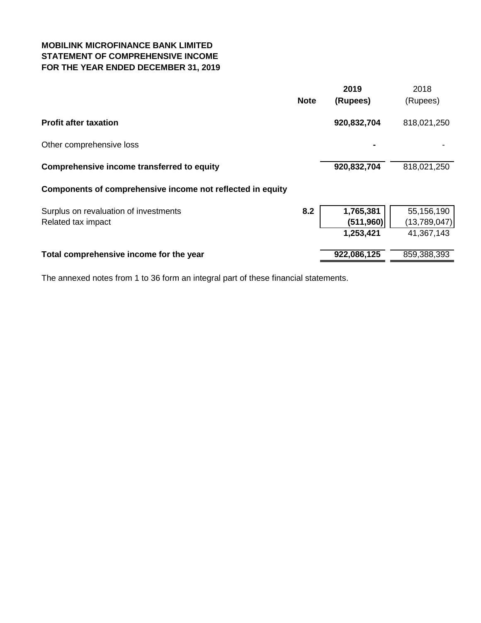## **MOBILINK MICROFINANCE BANK LIMITED STATEMENT OF COMPREHENSIVE INCOME FOR THE YEAR ENDED DECEMBER 31, 2019**

|                                                             | <b>Note</b> | 2019<br>(Rupees)                     | 2018<br>(Rupees)                         |
|-------------------------------------------------------------|-------------|--------------------------------------|------------------------------------------|
| <b>Profit after taxation</b>                                |             | 920,832,704                          | 818,021,250                              |
| Other comprehensive loss                                    |             |                                      |                                          |
| Comprehensive income transferred to equity                  |             | 920,832,704                          | 818,021,250                              |
| Components of comprehensive income not reflected in equity  |             |                                      |                                          |
| Surplus on revaluation of investments<br>Related tax impact | 8.2         | 1,765,381<br>(511, 960)<br>1,253,421 | 55,156,190<br>(13,789,047)<br>41,367,143 |
| Total comprehensive income for the year                     |             | 922,086,125                          | 859,388,393                              |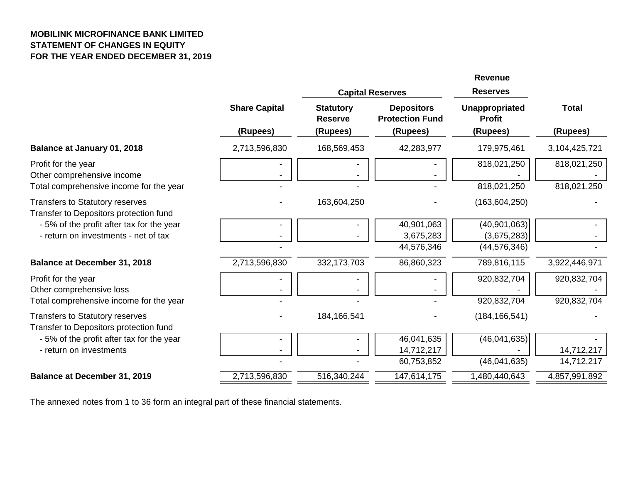## **MOBILINK MICROFINANCE BANK LIMITED STATEMENT OF CHANGES IN EQUITY FOR THE YEAR ENDED DECEMBER 31, 2019**

|                                                                                              |                                  |                                                | <b>Capital Reserves</b>                                 | <b>Revenue</b><br><b>Reserves</b>                  |                            |
|----------------------------------------------------------------------------------------------|----------------------------------|------------------------------------------------|---------------------------------------------------------|----------------------------------------------------|----------------------------|
|                                                                                              | <b>Share Capital</b><br>(Rupees) | <b>Statutory</b><br><b>Reserve</b><br>(Rupees) | <b>Depositors</b><br><b>Protection Fund</b><br>(Rupees) | <b>Unappropriated</b><br><b>Profit</b><br>(Rupees) | <b>Total</b><br>(Rupees)   |
| Balance at January 01, 2018                                                                  | 2,713,596,830                    | 168,569,453                                    | 42,283,977                                              | 179,975,461                                        | 3,104,425,721              |
| Profit for the year<br>Other comprehensive income<br>Total comprehensive income for the year |                                  |                                                |                                                         | 818,021,250<br>818,021,250                         | 818,021,250<br>818,021,250 |
| <b>Transfers to Statutory reserves</b><br>Transfer to Depositors protection fund             |                                  | 163,604,250                                    |                                                         | (163, 604, 250)                                    |                            |
| -5% of the profit after tax for the year<br>- return on investments - net of tax             |                                  |                                                | 40,901,063<br>3,675,283<br>44,576,346                   | (40, 901, 063)<br>(3,675,283)<br>(44, 576, 346)    |                            |
| <b>Balance at December 31, 2018</b>                                                          | 2,713,596,830                    | 332, 173, 703                                  | 86,860,323                                              | 789,816,115                                        | 3,922,446,971              |
| Profit for the year<br>Other comprehensive loss<br>Total comprehensive income for the year   |                                  |                                                |                                                         | 920,832,704<br>920,832,704                         | 920,832,704<br>920,832,704 |
| <b>Transfers to Statutory reserves</b><br>Transfer to Depositors protection fund             |                                  | 184,166,541                                    |                                                         | (184, 166, 541)                                    |                            |
| - 5% of the profit after tax for the year<br>- return on investments                         |                                  |                                                | 46,041,635<br>14,712,217<br>60,753,852                  | (46,041,635)<br>(46,041,635)                       | 14,712,217<br>14,712,217   |
| <b>Balance at December 31, 2019</b>                                                          | 2,713,596,830                    | 516,340,244                                    | 147,614,175                                             | 1,480,440,643                                      | 4,857,991,892              |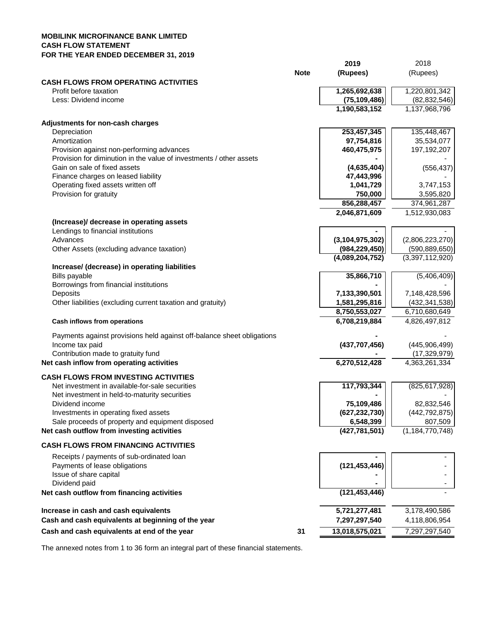#### **MOBILINK MICROFINANCE BANK LIMITED CASH FLOW STATEMENT FOR THE YEAR ENDED DECEMBER 31, 2019**

| <b>Note</b><br>(Rupees)<br>(Rupees)<br><b>CASH FLOWS FROM OPERATING ACTIVITIES</b><br>1,220,801,342<br>1,265,692,638<br>Profit before taxation<br>Less: Dividend income<br>(75, 109, 486)<br>(82, 832, 546)<br>1,190,583,152<br>1,137,968,796<br>Adjustments for non-cash charges<br>253,457,345<br>135,448,467<br>Depreciation<br>Amortization<br>97,754,816<br>35,534,077<br>Provision against non-performing advances<br>460,475,975<br>197,192,207<br>Provision for diminution in the value of investments / other assets<br>Gain on sale of fixed assets<br>(4,635,404)<br>(556, 437)<br>47,443,996<br>Finance charges on leased liability<br>Operating fixed assets written off<br>1,041,729<br>3,747,153<br>Provision for gratuity<br>750,000<br>3,595,820<br>856,288,457<br>374,961,287<br>2,046,871,609<br>1,512,930,083<br>(Increase)/ decrease in operating assets<br>Lendings to financial institutions<br>(3, 104, 975, 302)<br>Advances<br>(2,806,223,270)<br>Other Assets (excluding advance taxation)<br>(984, 229, 450)<br>(590, 889, 650)<br>(3,397,112,920)<br>(4,089,204,752)<br>Increase/ (decrease) in operating liabilities<br>Bills payable<br>35,866,710<br>(5,406,409)<br>Borrowings from financial institutions<br>Deposits<br>7,133,390,501<br>7,148,428,596<br>Other liabilities (excluding current taxation and gratuity)<br>1,581,295,816<br>(432, 341, 538)<br>8,750,553,027<br>6,710,680,649<br>6,708,219,884<br>4,826,497,812<br>Cash inflows from operations<br>Payments against provisions held against off-balance sheet obligations<br>Income tax paid<br>(437, 707, 456)<br>(445,906,499)<br>Contribution made to gratuity fund<br>(17, 329, 979)<br>Net cash inflow from operating activities<br>6,270,512,428<br>4,363,261,334<br><b>CASH FLOWS FROM INVESTING ACTIVITIES</b><br>Net investment in available-for-sale securities<br>117,793,344<br>(825, 617, 928)<br>Net investment in held-to-maturity securities<br>75,109,486<br>82,832,546<br>Dividend income<br>Investments in operating fixed assets<br>(442, 792, 875)<br>(627, 232, 730)<br>6,548,399<br>Sale proceeds of property and equipment disposed<br>807,509<br>(1, 184, 770, 748)<br>Net cash outflow from investing activities<br>(427, 781, 501)<br><b>CASH FLOWS FROM FINANCING ACTIVITIES</b><br>Receipts / payments of sub-ordinated loan<br>(121, 453, 446)<br>Payments of lease obligations<br>Issue of share capital<br>Dividend paid<br>(121, 453, 446)<br>Net cash outflow from financing activities<br>5,721,277,481<br>Increase in cash and cash equivalents<br>3,178,490,586<br>Cash and cash equivalents at beginning of the year<br>7,297,297,540<br>4,118,806,954<br>Cash and cash equivalents at end of the year<br>31<br>13,018,575,021<br>7,297,297,540 |  | 2019 | 2018 |
|---------------------------------------------------------------------------------------------------------------------------------------------------------------------------------------------------------------------------------------------------------------------------------------------------------------------------------------------------------------------------------------------------------------------------------------------------------------------------------------------------------------------------------------------------------------------------------------------------------------------------------------------------------------------------------------------------------------------------------------------------------------------------------------------------------------------------------------------------------------------------------------------------------------------------------------------------------------------------------------------------------------------------------------------------------------------------------------------------------------------------------------------------------------------------------------------------------------------------------------------------------------------------------------------------------------------------------------------------------------------------------------------------------------------------------------------------------------------------------------------------------------------------------------------------------------------------------------------------------------------------------------------------------------------------------------------------------------------------------------------------------------------------------------------------------------------------------------------------------------------------------------------------------------------------------------------------------------------------------------------------------------------------------------------------------------------------------------------------------------------------------------------------------------------------------------------------------------------------------------------------------------------------------------------------------------------------------------------------------------------------------------------------------------------------------------------------------------------------------------------------------------------------------------------------------------------------------------------------------------------------------------------------------------------------------------------------------------------------------------------------------------------------------------|--|------|------|
|                                                                                                                                                                                                                                                                                                                                                                                                                                                                                                                                                                                                                                                                                                                                                                                                                                                                                                                                                                                                                                                                                                                                                                                                                                                                                                                                                                                                                                                                                                                                                                                                                                                                                                                                                                                                                                                                                                                                                                                                                                                                                                                                                                                                                                                                                                                                                                                                                                                                                                                                                                                                                                                                                                                                                                                       |  |      |      |
|                                                                                                                                                                                                                                                                                                                                                                                                                                                                                                                                                                                                                                                                                                                                                                                                                                                                                                                                                                                                                                                                                                                                                                                                                                                                                                                                                                                                                                                                                                                                                                                                                                                                                                                                                                                                                                                                                                                                                                                                                                                                                                                                                                                                                                                                                                                                                                                                                                                                                                                                                                                                                                                                                                                                                                                       |  |      |      |
|                                                                                                                                                                                                                                                                                                                                                                                                                                                                                                                                                                                                                                                                                                                                                                                                                                                                                                                                                                                                                                                                                                                                                                                                                                                                                                                                                                                                                                                                                                                                                                                                                                                                                                                                                                                                                                                                                                                                                                                                                                                                                                                                                                                                                                                                                                                                                                                                                                                                                                                                                                                                                                                                                                                                                                                       |  |      |      |
|                                                                                                                                                                                                                                                                                                                                                                                                                                                                                                                                                                                                                                                                                                                                                                                                                                                                                                                                                                                                                                                                                                                                                                                                                                                                                                                                                                                                                                                                                                                                                                                                                                                                                                                                                                                                                                                                                                                                                                                                                                                                                                                                                                                                                                                                                                                                                                                                                                                                                                                                                                                                                                                                                                                                                                                       |  |      |      |
|                                                                                                                                                                                                                                                                                                                                                                                                                                                                                                                                                                                                                                                                                                                                                                                                                                                                                                                                                                                                                                                                                                                                                                                                                                                                                                                                                                                                                                                                                                                                                                                                                                                                                                                                                                                                                                                                                                                                                                                                                                                                                                                                                                                                                                                                                                                                                                                                                                                                                                                                                                                                                                                                                                                                                                                       |  |      |      |
|                                                                                                                                                                                                                                                                                                                                                                                                                                                                                                                                                                                                                                                                                                                                                                                                                                                                                                                                                                                                                                                                                                                                                                                                                                                                                                                                                                                                                                                                                                                                                                                                                                                                                                                                                                                                                                                                                                                                                                                                                                                                                                                                                                                                                                                                                                                                                                                                                                                                                                                                                                                                                                                                                                                                                                                       |  |      |      |
|                                                                                                                                                                                                                                                                                                                                                                                                                                                                                                                                                                                                                                                                                                                                                                                                                                                                                                                                                                                                                                                                                                                                                                                                                                                                                                                                                                                                                                                                                                                                                                                                                                                                                                                                                                                                                                                                                                                                                                                                                                                                                                                                                                                                                                                                                                                                                                                                                                                                                                                                                                                                                                                                                                                                                                                       |  |      |      |
|                                                                                                                                                                                                                                                                                                                                                                                                                                                                                                                                                                                                                                                                                                                                                                                                                                                                                                                                                                                                                                                                                                                                                                                                                                                                                                                                                                                                                                                                                                                                                                                                                                                                                                                                                                                                                                                                                                                                                                                                                                                                                                                                                                                                                                                                                                                                                                                                                                                                                                                                                                                                                                                                                                                                                                                       |  |      |      |
|                                                                                                                                                                                                                                                                                                                                                                                                                                                                                                                                                                                                                                                                                                                                                                                                                                                                                                                                                                                                                                                                                                                                                                                                                                                                                                                                                                                                                                                                                                                                                                                                                                                                                                                                                                                                                                                                                                                                                                                                                                                                                                                                                                                                                                                                                                                                                                                                                                                                                                                                                                                                                                                                                                                                                                                       |  |      |      |
|                                                                                                                                                                                                                                                                                                                                                                                                                                                                                                                                                                                                                                                                                                                                                                                                                                                                                                                                                                                                                                                                                                                                                                                                                                                                                                                                                                                                                                                                                                                                                                                                                                                                                                                                                                                                                                                                                                                                                                                                                                                                                                                                                                                                                                                                                                                                                                                                                                                                                                                                                                                                                                                                                                                                                                                       |  |      |      |
|                                                                                                                                                                                                                                                                                                                                                                                                                                                                                                                                                                                                                                                                                                                                                                                                                                                                                                                                                                                                                                                                                                                                                                                                                                                                                                                                                                                                                                                                                                                                                                                                                                                                                                                                                                                                                                                                                                                                                                                                                                                                                                                                                                                                                                                                                                                                                                                                                                                                                                                                                                                                                                                                                                                                                                                       |  |      |      |
|                                                                                                                                                                                                                                                                                                                                                                                                                                                                                                                                                                                                                                                                                                                                                                                                                                                                                                                                                                                                                                                                                                                                                                                                                                                                                                                                                                                                                                                                                                                                                                                                                                                                                                                                                                                                                                                                                                                                                                                                                                                                                                                                                                                                                                                                                                                                                                                                                                                                                                                                                                                                                                                                                                                                                                                       |  |      |      |
|                                                                                                                                                                                                                                                                                                                                                                                                                                                                                                                                                                                                                                                                                                                                                                                                                                                                                                                                                                                                                                                                                                                                                                                                                                                                                                                                                                                                                                                                                                                                                                                                                                                                                                                                                                                                                                                                                                                                                                                                                                                                                                                                                                                                                                                                                                                                                                                                                                                                                                                                                                                                                                                                                                                                                                                       |  |      |      |
|                                                                                                                                                                                                                                                                                                                                                                                                                                                                                                                                                                                                                                                                                                                                                                                                                                                                                                                                                                                                                                                                                                                                                                                                                                                                                                                                                                                                                                                                                                                                                                                                                                                                                                                                                                                                                                                                                                                                                                                                                                                                                                                                                                                                                                                                                                                                                                                                                                                                                                                                                                                                                                                                                                                                                                                       |  |      |      |
|                                                                                                                                                                                                                                                                                                                                                                                                                                                                                                                                                                                                                                                                                                                                                                                                                                                                                                                                                                                                                                                                                                                                                                                                                                                                                                                                                                                                                                                                                                                                                                                                                                                                                                                                                                                                                                                                                                                                                                                                                                                                                                                                                                                                                                                                                                                                                                                                                                                                                                                                                                                                                                                                                                                                                                                       |  |      |      |
|                                                                                                                                                                                                                                                                                                                                                                                                                                                                                                                                                                                                                                                                                                                                                                                                                                                                                                                                                                                                                                                                                                                                                                                                                                                                                                                                                                                                                                                                                                                                                                                                                                                                                                                                                                                                                                                                                                                                                                                                                                                                                                                                                                                                                                                                                                                                                                                                                                                                                                                                                                                                                                                                                                                                                                                       |  |      |      |
|                                                                                                                                                                                                                                                                                                                                                                                                                                                                                                                                                                                                                                                                                                                                                                                                                                                                                                                                                                                                                                                                                                                                                                                                                                                                                                                                                                                                                                                                                                                                                                                                                                                                                                                                                                                                                                                                                                                                                                                                                                                                                                                                                                                                                                                                                                                                                                                                                                                                                                                                                                                                                                                                                                                                                                                       |  |      |      |
|                                                                                                                                                                                                                                                                                                                                                                                                                                                                                                                                                                                                                                                                                                                                                                                                                                                                                                                                                                                                                                                                                                                                                                                                                                                                                                                                                                                                                                                                                                                                                                                                                                                                                                                                                                                                                                                                                                                                                                                                                                                                                                                                                                                                                                                                                                                                                                                                                                                                                                                                                                                                                                                                                                                                                                                       |  |      |      |
|                                                                                                                                                                                                                                                                                                                                                                                                                                                                                                                                                                                                                                                                                                                                                                                                                                                                                                                                                                                                                                                                                                                                                                                                                                                                                                                                                                                                                                                                                                                                                                                                                                                                                                                                                                                                                                                                                                                                                                                                                                                                                                                                                                                                                                                                                                                                                                                                                                                                                                                                                                                                                                                                                                                                                                                       |  |      |      |
|                                                                                                                                                                                                                                                                                                                                                                                                                                                                                                                                                                                                                                                                                                                                                                                                                                                                                                                                                                                                                                                                                                                                                                                                                                                                                                                                                                                                                                                                                                                                                                                                                                                                                                                                                                                                                                                                                                                                                                                                                                                                                                                                                                                                                                                                                                                                                                                                                                                                                                                                                                                                                                                                                                                                                                                       |  |      |      |
|                                                                                                                                                                                                                                                                                                                                                                                                                                                                                                                                                                                                                                                                                                                                                                                                                                                                                                                                                                                                                                                                                                                                                                                                                                                                                                                                                                                                                                                                                                                                                                                                                                                                                                                                                                                                                                                                                                                                                                                                                                                                                                                                                                                                                                                                                                                                                                                                                                                                                                                                                                                                                                                                                                                                                                                       |  |      |      |
|                                                                                                                                                                                                                                                                                                                                                                                                                                                                                                                                                                                                                                                                                                                                                                                                                                                                                                                                                                                                                                                                                                                                                                                                                                                                                                                                                                                                                                                                                                                                                                                                                                                                                                                                                                                                                                                                                                                                                                                                                                                                                                                                                                                                                                                                                                                                                                                                                                                                                                                                                                                                                                                                                                                                                                                       |  |      |      |
|                                                                                                                                                                                                                                                                                                                                                                                                                                                                                                                                                                                                                                                                                                                                                                                                                                                                                                                                                                                                                                                                                                                                                                                                                                                                                                                                                                                                                                                                                                                                                                                                                                                                                                                                                                                                                                                                                                                                                                                                                                                                                                                                                                                                                                                                                                                                                                                                                                                                                                                                                                                                                                                                                                                                                                                       |  |      |      |
|                                                                                                                                                                                                                                                                                                                                                                                                                                                                                                                                                                                                                                                                                                                                                                                                                                                                                                                                                                                                                                                                                                                                                                                                                                                                                                                                                                                                                                                                                                                                                                                                                                                                                                                                                                                                                                                                                                                                                                                                                                                                                                                                                                                                                                                                                                                                                                                                                                                                                                                                                                                                                                                                                                                                                                                       |  |      |      |
|                                                                                                                                                                                                                                                                                                                                                                                                                                                                                                                                                                                                                                                                                                                                                                                                                                                                                                                                                                                                                                                                                                                                                                                                                                                                                                                                                                                                                                                                                                                                                                                                                                                                                                                                                                                                                                                                                                                                                                                                                                                                                                                                                                                                                                                                                                                                                                                                                                                                                                                                                                                                                                                                                                                                                                                       |  |      |      |
|                                                                                                                                                                                                                                                                                                                                                                                                                                                                                                                                                                                                                                                                                                                                                                                                                                                                                                                                                                                                                                                                                                                                                                                                                                                                                                                                                                                                                                                                                                                                                                                                                                                                                                                                                                                                                                                                                                                                                                                                                                                                                                                                                                                                                                                                                                                                                                                                                                                                                                                                                                                                                                                                                                                                                                                       |  |      |      |
|                                                                                                                                                                                                                                                                                                                                                                                                                                                                                                                                                                                                                                                                                                                                                                                                                                                                                                                                                                                                                                                                                                                                                                                                                                                                                                                                                                                                                                                                                                                                                                                                                                                                                                                                                                                                                                                                                                                                                                                                                                                                                                                                                                                                                                                                                                                                                                                                                                                                                                                                                                                                                                                                                                                                                                                       |  |      |      |
|                                                                                                                                                                                                                                                                                                                                                                                                                                                                                                                                                                                                                                                                                                                                                                                                                                                                                                                                                                                                                                                                                                                                                                                                                                                                                                                                                                                                                                                                                                                                                                                                                                                                                                                                                                                                                                                                                                                                                                                                                                                                                                                                                                                                                                                                                                                                                                                                                                                                                                                                                                                                                                                                                                                                                                                       |  |      |      |
|                                                                                                                                                                                                                                                                                                                                                                                                                                                                                                                                                                                                                                                                                                                                                                                                                                                                                                                                                                                                                                                                                                                                                                                                                                                                                                                                                                                                                                                                                                                                                                                                                                                                                                                                                                                                                                                                                                                                                                                                                                                                                                                                                                                                                                                                                                                                                                                                                                                                                                                                                                                                                                                                                                                                                                                       |  |      |      |
|                                                                                                                                                                                                                                                                                                                                                                                                                                                                                                                                                                                                                                                                                                                                                                                                                                                                                                                                                                                                                                                                                                                                                                                                                                                                                                                                                                                                                                                                                                                                                                                                                                                                                                                                                                                                                                                                                                                                                                                                                                                                                                                                                                                                                                                                                                                                                                                                                                                                                                                                                                                                                                                                                                                                                                                       |  |      |      |
|                                                                                                                                                                                                                                                                                                                                                                                                                                                                                                                                                                                                                                                                                                                                                                                                                                                                                                                                                                                                                                                                                                                                                                                                                                                                                                                                                                                                                                                                                                                                                                                                                                                                                                                                                                                                                                                                                                                                                                                                                                                                                                                                                                                                                                                                                                                                                                                                                                                                                                                                                                                                                                                                                                                                                                                       |  |      |      |
|                                                                                                                                                                                                                                                                                                                                                                                                                                                                                                                                                                                                                                                                                                                                                                                                                                                                                                                                                                                                                                                                                                                                                                                                                                                                                                                                                                                                                                                                                                                                                                                                                                                                                                                                                                                                                                                                                                                                                                                                                                                                                                                                                                                                                                                                                                                                                                                                                                                                                                                                                                                                                                                                                                                                                                                       |  |      |      |
|                                                                                                                                                                                                                                                                                                                                                                                                                                                                                                                                                                                                                                                                                                                                                                                                                                                                                                                                                                                                                                                                                                                                                                                                                                                                                                                                                                                                                                                                                                                                                                                                                                                                                                                                                                                                                                                                                                                                                                                                                                                                                                                                                                                                                                                                                                                                                                                                                                                                                                                                                                                                                                                                                                                                                                                       |  |      |      |
|                                                                                                                                                                                                                                                                                                                                                                                                                                                                                                                                                                                                                                                                                                                                                                                                                                                                                                                                                                                                                                                                                                                                                                                                                                                                                                                                                                                                                                                                                                                                                                                                                                                                                                                                                                                                                                                                                                                                                                                                                                                                                                                                                                                                                                                                                                                                                                                                                                                                                                                                                                                                                                                                                                                                                                                       |  |      |      |
|                                                                                                                                                                                                                                                                                                                                                                                                                                                                                                                                                                                                                                                                                                                                                                                                                                                                                                                                                                                                                                                                                                                                                                                                                                                                                                                                                                                                                                                                                                                                                                                                                                                                                                                                                                                                                                                                                                                                                                                                                                                                                                                                                                                                                                                                                                                                                                                                                                                                                                                                                                                                                                                                                                                                                                                       |  |      |      |
|                                                                                                                                                                                                                                                                                                                                                                                                                                                                                                                                                                                                                                                                                                                                                                                                                                                                                                                                                                                                                                                                                                                                                                                                                                                                                                                                                                                                                                                                                                                                                                                                                                                                                                                                                                                                                                                                                                                                                                                                                                                                                                                                                                                                                                                                                                                                                                                                                                                                                                                                                                                                                                                                                                                                                                                       |  |      |      |
|                                                                                                                                                                                                                                                                                                                                                                                                                                                                                                                                                                                                                                                                                                                                                                                                                                                                                                                                                                                                                                                                                                                                                                                                                                                                                                                                                                                                                                                                                                                                                                                                                                                                                                                                                                                                                                                                                                                                                                                                                                                                                                                                                                                                                                                                                                                                                                                                                                                                                                                                                                                                                                                                                                                                                                                       |  |      |      |
|                                                                                                                                                                                                                                                                                                                                                                                                                                                                                                                                                                                                                                                                                                                                                                                                                                                                                                                                                                                                                                                                                                                                                                                                                                                                                                                                                                                                                                                                                                                                                                                                                                                                                                                                                                                                                                                                                                                                                                                                                                                                                                                                                                                                                                                                                                                                                                                                                                                                                                                                                                                                                                                                                                                                                                                       |  |      |      |
|                                                                                                                                                                                                                                                                                                                                                                                                                                                                                                                                                                                                                                                                                                                                                                                                                                                                                                                                                                                                                                                                                                                                                                                                                                                                                                                                                                                                                                                                                                                                                                                                                                                                                                                                                                                                                                                                                                                                                                                                                                                                                                                                                                                                                                                                                                                                                                                                                                                                                                                                                                                                                                                                                                                                                                                       |  |      |      |
|                                                                                                                                                                                                                                                                                                                                                                                                                                                                                                                                                                                                                                                                                                                                                                                                                                                                                                                                                                                                                                                                                                                                                                                                                                                                                                                                                                                                                                                                                                                                                                                                                                                                                                                                                                                                                                                                                                                                                                                                                                                                                                                                                                                                                                                                                                                                                                                                                                                                                                                                                                                                                                                                                                                                                                                       |  |      |      |
|                                                                                                                                                                                                                                                                                                                                                                                                                                                                                                                                                                                                                                                                                                                                                                                                                                                                                                                                                                                                                                                                                                                                                                                                                                                                                                                                                                                                                                                                                                                                                                                                                                                                                                                                                                                                                                                                                                                                                                                                                                                                                                                                                                                                                                                                                                                                                                                                                                                                                                                                                                                                                                                                                                                                                                                       |  |      |      |
|                                                                                                                                                                                                                                                                                                                                                                                                                                                                                                                                                                                                                                                                                                                                                                                                                                                                                                                                                                                                                                                                                                                                                                                                                                                                                                                                                                                                                                                                                                                                                                                                                                                                                                                                                                                                                                                                                                                                                                                                                                                                                                                                                                                                                                                                                                                                                                                                                                                                                                                                                                                                                                                                                                                                                                                       |  |      |      |
|                                                                                                                                                                                                                                                                                                                                                                                                                                                                                                                                                                                                                                                                                                                                                                                                                                                                                                                                                                                                                                                                                                                                                                                                                                                                                                                                                                                                                                                                                                                                                                                                                                                                                                                                                                                                                                                                                                                                                                                                                                                                                                                                                                                                                                                                                                                                                                                                                                                                                                                                                                                                                                                                                                                                                                                       |  |      |      |
|                                                                                                                                                                                                                                                                                                                                                                                                                                                                                                                                                                                                                                                                                                                                                                                                                                                                                                                                                                                                                                                                                                                                                                                                                                                                                                                                                                                                                                                                                                                                                                                                                                                                                                                                                                                                                                                                                                                                                                                                                                                                                                                                                                                                                                                                                                                                                                                                                                                                                                                                                                                                                                                                                                                                                                                       |  |      |      |
|                                                                                                                                                                                                                                                                                                                                                                                                                                                                                                                                                                                                                                                                                                                                                                                                                                                                                                                                                                                                                                                                                                                                                                                                                                                                                                                                                                                                                                                                                                                                                                                                                                                                                                                                                                                                                                                                                                                                                                                                                                                                                                                                                                                                                                                                                                                                                                                                                                                                                                                                                                                                                                                                                                                                                                                       |  |      |      |
|                                                                                                                                                                                                                                                                                                                                                                                                                                                                                                                                                                                                                                                                                                                                                                                                                                                                                                                                                                                                                                                                                                                                                                                                                                                                                                                                                                                                                                                                                                                                                                                                                                                                                                                                                                                                                                                                                                                                                                                                                                                                                                                                                                                                                                                                                                                                                                                                                                                                                                                                                                                                                                                                                                                                                                                       |  |      |      |
|                                                                                                                                                                                                                                                                                                                                                                                                                                                                                                                                                                                                                                                                                                                                                                                                                                                                                                                                                                                                                                                                                                                                                                                                                                                                                                                                                                                                                                                                                                                                                                                                                                                                                                                                                                                                                                                                                                                                                                                                                                                                                                                                                                                                                                                                                                                                                                                                                                                                                                                                                                                                                                                                                                                                                                                       |  |      |      |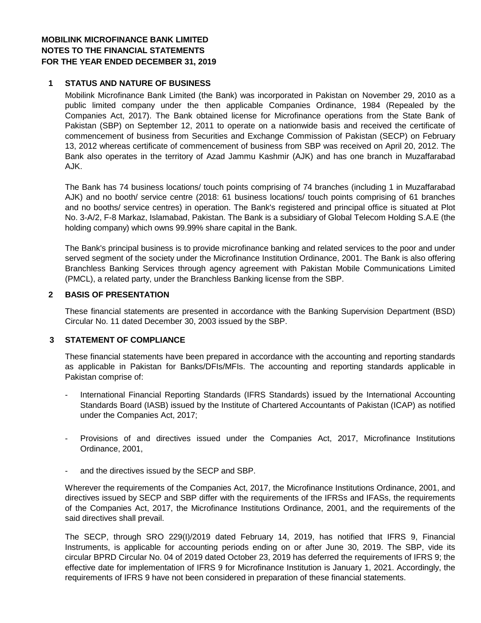## **MOBILINK MICROFINANCE BANK LIMITED NOTES TO THE FINANCIAL STATEMENTS FOR THE YEAR ENDED DECEMBER 31, 2019**

## **1 STATUS AND NATURE OF BUSINESS**

Mobilink Microfinance Bank Limited (the Bank) was incorporated in Pakistan on November 29, 2010 as a public limited company under the then applicable Companies Ordinance, 1984 (Repealed by the Companies Act, 2017). The Bank obtained license for Microfinance operations from the State Bank of Pakistan (SBP) on September 12, 2011 to operate on a nationwide basis and received the certificate of commencement of business from Securities and Exchange Commission of Pakistan (SECP) on February 13, 2012 whereas certificate of commencement of business from SBP was received on April 20, 2012. The Bank also operates in the territory of Azad Jammu Kashmir (AJK) and has one branch in Muzaffarabad AJK.

The Bank has 74 business locations/ touch points comprising of 74 branches (including 1 in Muzaffarabad AJK) and no booth/ service centre (2018: 61 business locations/ touch points comprising of 61 branches and no booths/ service centres) in operation. The Bank's registered and principal office is situated at Plot No. 3-A/2, F-8 Markaz, Islamabad, Pakistan. The Bank is a subsidiary of Global Telecom Holding S.A.E (the holding company) which owns 99.99% share capital in the Bank.

The Bank's principal business is to provide microfinance banking and related services to the poor and under served segment of the society under the Microfinance Institution Ordinance, 2001. The Bank is also offering Branchless Banking Services through agency agreement with Pakistan Mobile Communications Limited (PMCL), a related party, under the Branchless Banking license from the SBP.

#### **2 BASIS OF PRESENTATION**

These financial statements are presented in accordance with the Banking Supervision Department (BSD) Circular No. 11 dated December 30, 2003 issued by the SBP.

#### **3 STATEMENT OF COMPLIANCE**

These financial statements have been prepared in accordance with the accounting and reporting standards as applicable in Pakistan for Banks/DFIs/MFIs. The accounting and reporting standards applicable in Pakistan comprise of:

- International Financial Reporting Standards (IFRS Standards) issued by the International Accounting Standards Board (IASB) issued by the Institute of Chartered Accountants of Pakistan (ICAP) as notified under the Companies Act, 2017;
- Provisions of and directives issued under the Companies Act, 2017, Microfinance Institutions Ordinance, 2001,
- and the directives issued by the SECP and SBP.

Wherever the requirements of the Companies Act, 2017, the Microfinance Institutions Ordinance, 2001, and directives issued by SECP and SBP differ with the requirements of the IFRSs and IFASs, the requirements of the Companies Act, 2017, the Microfinance Institutions Ordinance, 2001, and the requirements of the said directives shall prevail.

The SECP, through SRO 229(I)/2019 dated February 14, 2019, has notified that IFRS 9, Financial Instruments, is applicable for accounting periods ending on or after June 30, 2019. The SBP, vide its circular BPRD Circular No. 04 of 2019 dated October 23, 2019 has deferred the requirements of IFRS 9; the effective date for implementation of IFRS 9 for Microfinance Institution is January 1, 2021. Accordingly, the requirements of IFRS 9 have not been considered in preparation of these financial statements.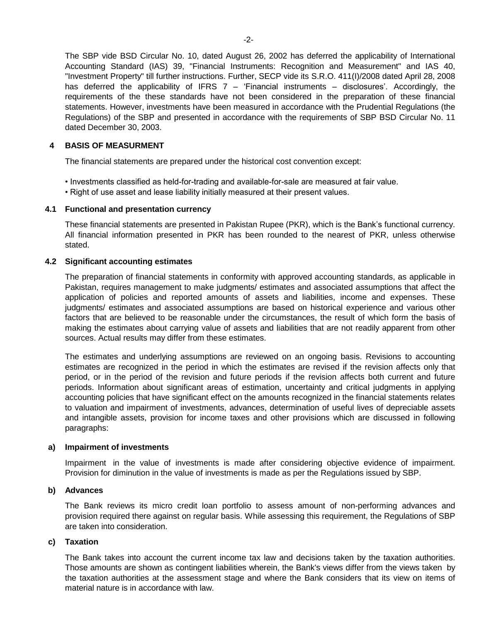The SBP vide BSD Circular No. 10, dated August 26, 2002 has deferred the applicability of International Accounting Standard (IAS) 39, "Financial Instruments: Recognition and Measurement" and IAS 40, "Investment Property" till further instructions. Further, SECP vide its S.R.O. 411(I)/2008 dated April 28, 2008 has deferred the applicability of IFRS 7 - 'Financial instruments - disclosures'. Accordingly, the requirements of the these standards have not been considered in the preparation of these financial statements. However, investments have been measured in accordance with the Prudential Regulations (the Regulations) of the SBP and presented in accordance with the requirements of SBP BSD Circular No. 11 dated December 30, 2003.

#### **4 BASIS OF MEASURMENT**

The financial statements are prepared under the historical cost convention except:

- Investments classified as held-for-trading and available-for-sale are measured at fair value.
- Right of use asset and lease liability initially measured at their present values.

#### **4.1 Functional and presentation currency**

These financial statements are presented in Pakistan Rupee (PKR), which is the Bank's functional currency. All financial information presented in PKR has been rounded to the nearest of PKR, unless otherwise stated.

#### **4.2 Significant accounting estimates**

The preparation of financial statements in conformity with approved accounting standards, as applicable in Pakistan, requires management to make judgments/ estimates and associated assumptions that affect the application of policies and reported amounts of assets and liabilities, income and expenses. These judgments/ estimates and associated assumptions are based on historical experience and various other factors that are believed to be reasonable under the circumstances, the result of which form the basis of making the estimates about carrying value of assets and liabilities that are not readily apparent from other sources. Actual results may differ from these estimates.

The estimates and underlying assumptions are reviewed on an ongoing basis. Revisions to accounting estimates are recognized in the period in which the estimates are revised if the revision affects only that period, or in the period of the revision and future periods if the revision affects both current and future periods. Information about significant areas of estimation, uncertainty and critical judgments in applying accounting policies that have significant effect on the amounts recognized in the financial statements relates to valuation and impairment of investments, advances, determination of useful lives of depreciable assets and intangible assets, provision for income taxes and other provisions which are discussed in following paragraphs:

#### **a) Impairment of investments**

Impairment in the value of investments is made after considering objective evidence of impairment. Provision for diminution in the value of investments is made as per the Regulations issued by SBP.

#### **b) Advances**

The Bank reviews its micro credit loan portfolio to assess amount of non-performing advances and provision required there against on regular basis. While assessing this requirement, the Regulations of SBP are taken into consideration.

#### **c) Taxation**

The Bank takes into account the current income tax law and decisions taken by the taxation authorities. Those amounts are shown as contingent liabilities wherein, the Bank's views differ from the views taken by the taxation authorities at the assessment stage and where the Bank considers that its view on items of material nature is in accordance with law.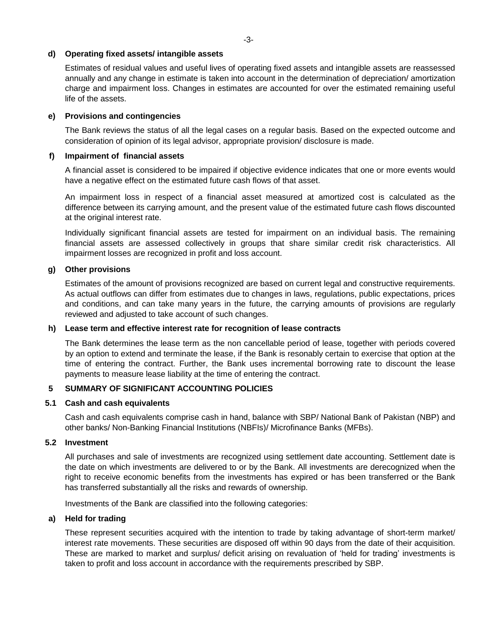#### **d) Operating fixed assets/ intangible assets**

Estimates of residual values and useful lives of operating fixed assets and intangible assets are reassessed annually and any change in estimate is taken into account in the determination of depreciation/ amortization charge and impairment loss. Changes in estimates are accounted for over the estimated remaining useful life of the assets.

#### **e) Provisions and contingencies**

The Bank reviews the status of all the legal cases on a regular basis. Based on the expected outcome and consideration of opinion of its legal advisor, appropriate provision/ disclosure is made.

#### **f) Impairment of financial assets**

A financial asset is considered to be impaired if objective evidence indicates that one or more events would have a negative effect on the estimated future cash flows of that asset.

An impairment loss in respect of a financial asset measured at amortized cost is calculated as the difference between its carrying amount, and the present value of the estimated future cash flows discounted at the original interest rate.

Individually significant financial assets are tested for impairment on an individual basis. The remaining financial assets are assessed collectively in groups that share similar credit risk characteristics. All impairment losses are recognized in profit and loss account.

#### **g) Other provisions**

Estimates of the amount of provisions recognized are based on current legal and constructive requirements. As actual outflows can differ from estimates due to changes in laws, regulations, public expectations, prices and conditions, and can take many years in the future, the carrying amounts of provisions are regularly reviewed and adjusted to take account of such changes.

#### **h) Lease term and effective interest rate for recognition of lease contracts**

The Bank determines the lease term as the non cancellable period of lease, together with periods covered by an option to extend and terminate the lease, if the Bank is resonably certain to exercise that option at the time of entering the contract. Further, the Bank uses incremental borrowing rate to discount the lease payments to measure lease liability at the time of entering the contract.

#### **5 SUMMARY OF SIGNIFICANT ACCOUNTING POLICIES**

#### **5.1 Cash and cash equivalents**

Cash and cash equivalents comprise cash in hand, balance with SBP/ National Bank of Pakistan (NBP) and other banks/ Non-Banking Financial Institutions (NBFIs)/ Microfinance Banks (MFBs).

#### **5.2 Investment**

All purchases and sale of investments are recognized using settlement date accounting. Settlement date is the date on which investments are delivered to or by the Bank. All investments are derecognized when the right to receive economic benefits from the investments has expired or has been transferred or the Bank has transferred substantially all the risks and rewards of ownership.

Investments of the Bank are classified into the following categories:

#### **a) Held for trading**

These represent securities acquired with the intention to trade by taking advantage of short-term market/ interest rate movements. These securities are disposed off within 90 days from the date of their acquisition. These are marked to market and surplus/ deficit arising on revaluation of 'held for trading' investments is taken to profit and loss account in accordance with the requirements prescribed by SBP.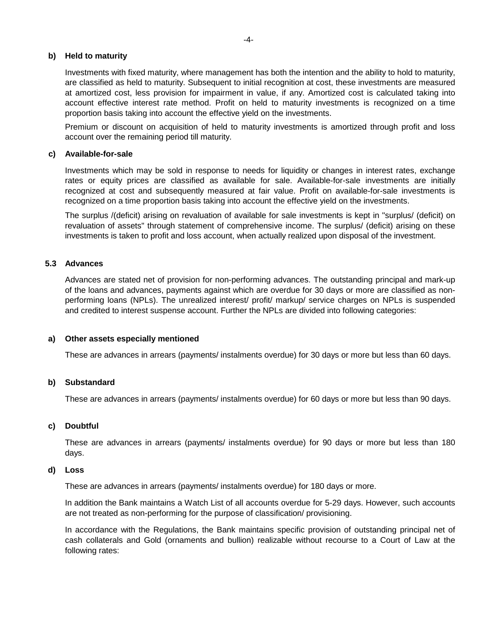#### **b) Held to maturity**

Investments with fixed maturity, where management has both the intention and the ability to hold to maturity, are classified as held to maturity. Subsequent to initial recognition at cost, these investments are measured at amortized cost, less provision for impairment in value, if any. Amortized cost is calculated taking into account effective interest rate method. Profit on held to maturity investments is recognized on a time proportion basis taking into account the effective yield on the investments.

Premium or discount on acquisition of held to maturity investments is amortized through profit and loss account over the remaining period till maturity.

## **c) Available-for-sale**

Investments which may be sold in response to needs for liquidity or changes in interest rates, exchange rates or equity prices are classified as available for sale. Available-for-sale investments are initially recognized at cost and subsequently measured at fair value. Profit on available-for-sale investments is recognized on a time proportion basis taking into account the effective yield on the investments.

The surplus /(deficit) arising on revaluation of available for sale investments is kept in "surplus/ (deficit) on revaluation of assets" through statement of comprehensive income. The surplus/ (deficit) arising on these investments is taken to profit and loss account, when actually realized upon disposal of the investment.

#### **5.3 Advances**

Advances are stated net of provision for non-performing advances. The outstanding principal and mark-up of the loans and advances, payments against which are overdue for 30 days or more are classified as nonperforming loans (NPLs). The unrealized interest/ profit/ markup/ service charges on NPLs is suspended and credited to interest suspense account. Further the NPLs are divided into following categories:

#### **a) Other assets especially mentioned**

These are advances in arrears (payments/ instalments overdue) for 30 days or more but less than 60 days.

#### **b) Substandard**

These are advances in arrears (payments/ instalments overdue) for 60 days or more but less than 90 days.

#### **c) Doubtful**

These are advances in arrears (payments/ instalments overdue) for 90 days or more but less than 180 days.

#### **d) Loss**

These are advances in arrears (payments/ instalments overdue) for 180 days or more.

In addition the Bank maintains a Watch List of all accounts overdue for 5-29 days. However, such accounts are not treated as non-performing for the purpose of classification/ provisioning.

In accordance with the Regulations, the Bank maintains specific provision of outstanding principal net of cash collaterals and Gold (ornaments and bullion) realizable without recourse to a Court of Law at the following rates: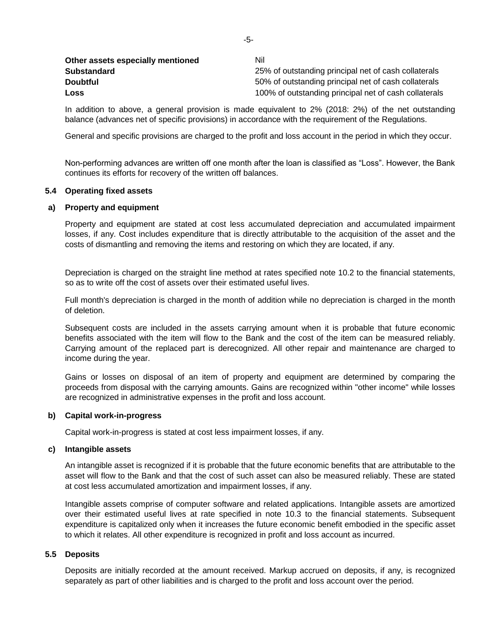| Other assets especially mentioned | Nil                                                   |
|-----------------------------------|-------------------------------------------------------|
| <b>Substandard</b>                | 25% of outstanding principal net of cash collaterals  |
| <b>Doubtful</b>                   | 50% of outstanding principal net of cash collaterals  |
| Loss                              | 100% of outstanding principal net of cash collaterals |

In addition to above, a general provision is made equivalent to 2% (2018: 2%) of the net outstanding balance (advances net of specific provisions) in accordance with the requirement of the Regulations.

General and specific provisions are charged to the profit and loss account in the period in which they occur.

Non-performing advances are written off one month after the loan is classified as "Loss". However, the Bank continues its efforts for recovery of the written off balances.

#### **5.4 Operating fixed assets**

#### **a) Property and equipment**

Property and equipment are stated at cost less accumulated depreciation and accumulated impairment losses, if any. Cost includes expenditure that is directly attributable to the acquisition of the asset and the costs of dismantling and removing the items and restoring on which they are located, if any.

Depreciation is charged on the straight line method at rates specified note 10.2 to the financial statements, so as to write off the cost of assets over their estimated useful lives.

Full month's depreciation is charged in the month of addition while no depreciation is charged in the month of deletion.

Subsequent costs are included in the assets carrying amount when it is probable that future economic benefits associated with the item will flow to the Bank and the cost of the item can be measured reliably. Carrying amount of the replaced part is derecognized. All other repair and maintenance are charged to income during the year.

Gains or losses on disposal of an item of property and equipment are determined by comparing the proceeds from disposal with the carrying amounts. Gains are recognized within "other income" while losses are recognized in administrative expenses in the profit and loss account.

#### **b) Capital work-in-progress**

Capital work-in-progress is stated at cost less impairment losses, if any.

#### **c) Intangible assets**

An intangible asset is recognized if it is probable that the future economic benefits that are attributable to the asset will flow to the Bank and that the cost of such asset can also be measured reliably. These are stated at cost less accumulated amortization and impairment losses, if any.

Intangible assets comprise of computer software and related applications. Intangible assets are amortized over their estimated useful lives at rate specified in note 10.3 to the financial statements. Subsequent expenditure is capitalized only when it increases the future economic benefit embodied in the specific asset to which it relates. All other expenditure is recognized in profit and loss account as incurred.

### **5.5 Deposits**

Deposits are initially recorded at the amount received. Markup accrued on deposits, if any, is recognized separately as part of other liabilities and is charged to the profit and loss account over the period.

-5-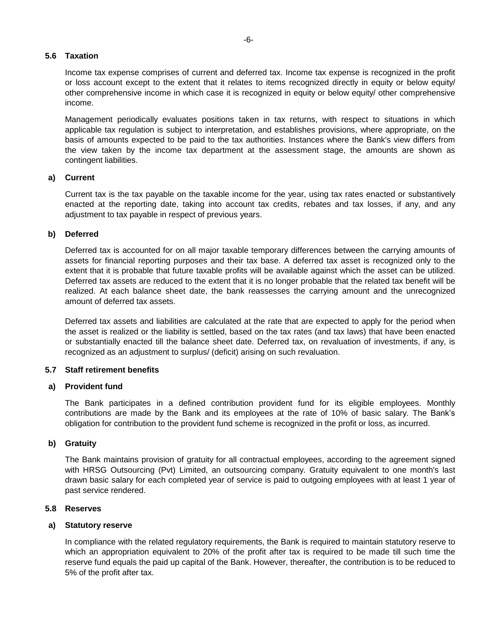#### **5.6 Taxation**

Income tax expense comprises of current and deferred tax. Income tax expense is recognized in the profit or loss account except to the extent that it relates to items recognized directly in equity or below equity/ other comprehensive income in which case it is recognized in equity or below equity/ other comprehensive income.

Management periodically evaluates positions taken in tax returns, with respect to situations in which applicable tax regulation is subject to interpretation, and establishes provisions, where appropriate, on the basis of amounts expected to be paid to the tax authorities. Instances where the Bank's view differs from the view taken by the income tax department at the assessment stage, the amounts are shown as contingent liabilities.

#### **a) Current**

Current tax is the tax payable on the taxable income for the year, using tax rates enacted or substantively enacted at the reporting date, taking into account tax credits, rebates and tax losses, if any, and any adjustment to tax payable in respect of previous years.

## **b) Deferred**

Deferred tax is accounted for on all major taxable temporary differences between the carrying amounts of assets for financial reporting purposes and their tax base. A deferred tax asset is recognized only to the extent that it is probable that future taxable profits will be available against which the asset can be utilized. Deferred tax assets are reduced to the extent that it is no longer probable that the related tax benefit will be realized. At each balance sheet date, the bank reassesses the carrying amount and the unrecognized amount of deferred tax assets.

Deferred tax assets and liabilities are calculated at the rate that are expected to apply for the period when the asset is realized or the liability is settled, based on the tax rates (and tax laws) that have been enacted or substantially enacted till the balance sheet date. Deferred tax, on revaluation of investments, if any, is recognized as an adjustment to surplus/ (deficit) arising on such revaluation.

#### **5.7 Staff retirement benefits**

### **a) Provident fund**

The Bank participates in a defined contribution provident fund for its eligible employees. Monthly contributions are made by the Bank and its employees at the rate of 10% of basic salary. The Bank's obligation for contribution to the provident fund scheme is recognized in the profit or loss, as incurred.

#### **b) Gratuity**

The Bank maintains provision of gratuity for all contractual employees, according to the agreement signed with HRSG Outsourcing (Pvt) Limited, an outsourcing company. Gratuity equivalent to one month's last drawn basic salary for each completed year of service is paid to outgoing employees with at least 1 year of past service rendered.

#### **5.8 Reserves**

#### **a) Statutory reserve**

In compliance with the related regulatory requirements, the Bank is required to maintain statutory reserve to which an appropriation equivalent to 20% of the profit after tax is required to be made till such time the reserve fund equals the paid up capital of the Bank. However, thereafter, the contribution is to be reduced to 5% of the profit after tax.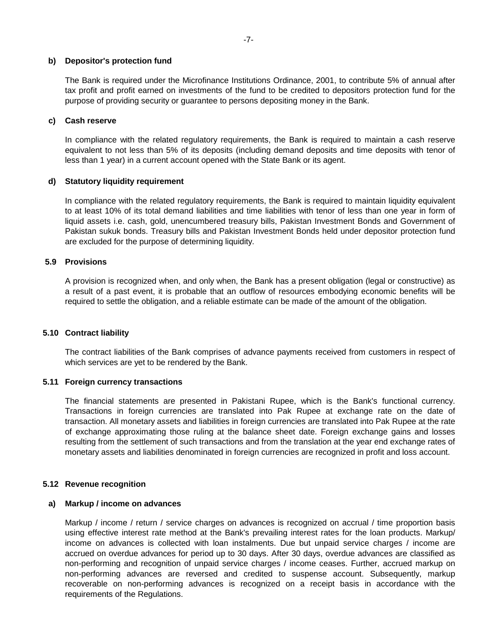#### **b) Depositor's protection fund**

The Bank is required under the Microfinance Institutions Ordinance, 2001, to contribute 5% of annual after tax profit and profit earned on investments of the fund to be credited to depositors protection fund for the purpose of providing security or guarantee to persons depositing money in the Bank.

#### **c) Cash reserve**

In compliance with the related regulatory requirements, the Bank is required to maintain a cash reserve equivalent to not less than 5% of its deposits (including demand deposits and time deposits with tenor of less than 1 year) in a current account opened with the State Bank or its agent.

#### **d) Statutory liquidity requirement**

In compliance with the related regulatory requirements, the Bank is required to maintain liquidity equivalent to at least 10% of its total demand liabilities and time liabilities with tenor of less than one year in form of liquid assets i.e. cash, gold, unencumbered treasury bills, Pakistan Investment Bonds and Government of Pakistan sukuk bonds. Treasury bills and Pakistan Investment Bonds held under depositor protection fund are excluded for the purpose of determining liquidity.

#### **5.9 Provisions**

A provision is recognized when, and only when, the Bank has a present obligation (legal or constructive) as a result of a past event, it is probable that an outflow of resources embodying economic benefits will be required to settle the obligation, and a reliable estimate can be made of the amount of the obligation.

#### **5.10 Contract liability**

The contract liabilities of the Bank comprises of advance payments received from customers in respect of which services are yet to be rendered by the Bank.

#### **5.11 Foreign currency transactions**

The financial statements are presented in Pakistani Rupee, which is the Bank's functional currency. Transactions in foreign currencies are translated into Pak Rupee at exchange rate on the date of transaction. All monetary assets and liabilities in foreign currencies are translated into Pak Rupee at the rate of exchange approximating those ruling at the balance sheet date. Foreign exchange gains and losses resulting from the settlement of such transactions and from the translation at the year end exchange rates of monetary assets and liabilities denominated in foreign currencies are recognized in profit and loss account.

#### **5.12 Revenue recognition**

#### **a) Markup / income on advances**

Markup / income / return / service charges on advances is recognized on accrual / time proportion basis using effective interest rate method at the Bank's prevailing interest rates for the loan products. Markup/ income on advances is collected with loan instalments. Due but unpaid service charges / income are accrued on overdue advances for period up to 30 days. After 30 days, overdue advances are classified as non-performing and recognition of unpaid service charges / income ceases. Further, accrued markup on non-performing advances are reversed and credited to suspense account. Subsequently, markup recoverable on non-performing advances is recognized on a receipt basis in accordance with the requirements of the Regulations.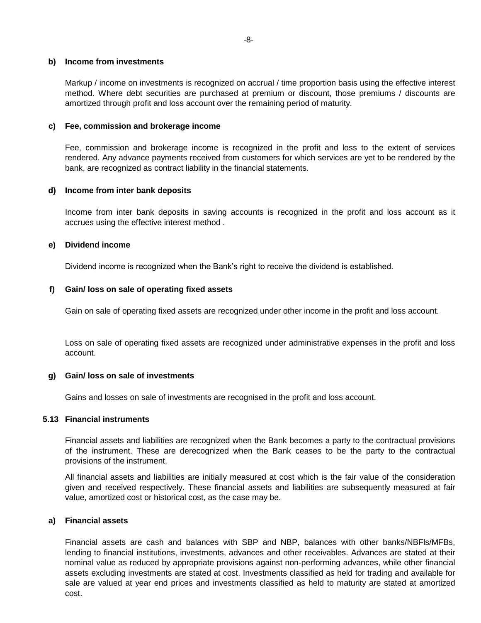#### **b) Income from investments**

Markup / income on investments is recognized on accrual / time proportion basis using the effective interest method. Where debt securities are purchased at premium or discount, those premiums / discounts are amortized through profit and loss account over the remaining period of maturity.

#### **c) Fee, commission and brokerage income**

Fee, commission and brokerage income is recognized in the profit and loss to the extent of services rendered. Any advance payments received from customers for which services are yet to be rendered by the bank, are recognized as contract liability in the financial statements.

#### **d) Income from inter bank deposits**

Income from inter bank deposits in saving accounts is recognized in the profit and loss account as it accrues using the effective interest method .

#### **e) Dividend income**

Dividend income is recognized when the Bank's right to receive the dividend is established.

#### **f) Gain/ loss on sale of operating fixed assets**

Gain on sale of operating fixed assets are recognized under other income in the profit and loss account.

Loss on sale of operating fixed assets are recognized under administrative expenses in the profit and loss account.

#### **g) Gain/ loss on sale of investments**

Gains and losses on sale of investments are recognised in the profit and loss account.

#### **5.13 Financial instruments**

Financial assets and liabilities are recognized when the Bank becomes a party to the contractual provisions of the instrument. These are derecognized when the Bank ceases to be the party to the contractual provisions of the instrument.

All financial assets and liabilities are initially measured at cost which is the fair value of the consideration given and received respectively. These financial assets and liabilities are subsequently measured at fair value, amortized cost or historical cost, as the case may be.

#### **a) Financial assets**

Financial assets are cash and balances with SBP and NBP, balances with other banks/NBFls/MFBs, lending to financial institutions, investments, advances and other receivables. Advances are stated at their nominal value as reduced by appropriate provisions against non-performing advances, while other financial assets excluding investments are stated at cost. Investments classified as held for trading and available for sale are valued at year end prices and investments classified as held to maturity are stated at amortized cost.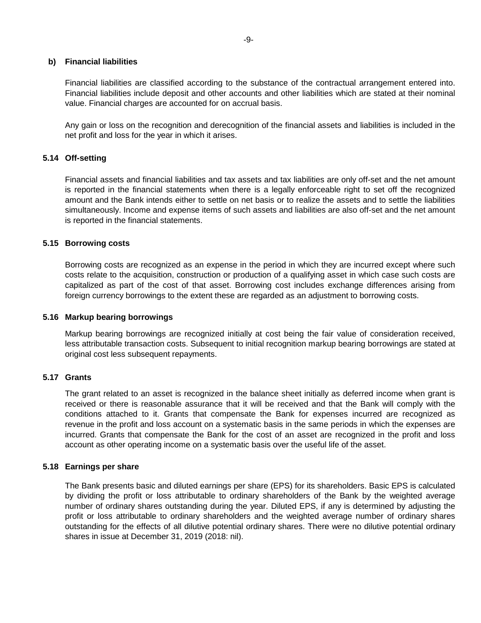#### **b) Financial liabilities**

Financial liabilities are classified according to the substance of the contractual arrangement entered into. Financial liabilities include deposit and other accounts and other liabilities which are stated at their nominal value. Financial charges are accounted for on accrual basis.

Any gain or loss on the recognition and derecognition of the financial assets and liabilities is included in the net profit and loss for the year in which it arises.

#### **5.14 Off-setting**

Financial assets and financial liabilities and tax assets and tax liabilities are only off-set and the net amount is reported in the financial statements when there is a legally enforceable right to set off the recognized amount and the Bank intends either to settle on net basis or to realize the assets and to settle the liabilities simultaneously. Income and expense items of such assets and liabilities are also off-set and the net amount is reported in the financial statements.

#### **5.15 Borrowing costs**

Borrowing costs are recognized as an expense in the period in which they are incurred except where such costs relate to the acquisition, construction or production of a qualifying asset in which case such costs are capitalized as part of the cost of that asset. Borrowing cost includes exchange differences arising from foreign currency borrowings to the extent these are regarded as an adjustment to borrowing costs.

#### **5.16 Markup bearing borrowings**

Markup bearing borrowings are recognized initially at cost being the fair value of consideration received, less attributable transaction costs. Subsequent to initial recognition markup bearing borrowings are stated at original cost less subsequent repayments.

## **5.17 Grants**

The grant related to an asset is recognized in the balance sheet initially as deferred income when grant is received or there is reasonable assurance that it will be received and that the Bank will comply with the conditions attached to it. Grants that compensate the Bank for expenses incurred are recognized as revenue in the profit and loss account on a systematic basis in the same periods in which the expenses are incurred. Grants that compensate the Bank for the cost of an asset are recognized in the profit and loss account as other operating income on a systematic basis over the useful life of the asset.

#### **5.18 Earnings per share**

The Bank presents basic and diluted earnings per share (EPS) for its shareholders. Basic EPS is calculated by dividing the profit or loss attributable to ordinary shareholders of the Bank by the weighted average number of ordinary shares outstanding during the year. Diluted EPS, if any is determined by adjusting the profit or loss attributable to ordinary shareholders and the weighted average number of ordinary shares outstanding for the effects of all dilutive potential ordinary shares. There were no dilutive potential ordinary shares in issue at December 31, 2019 (2018: nil).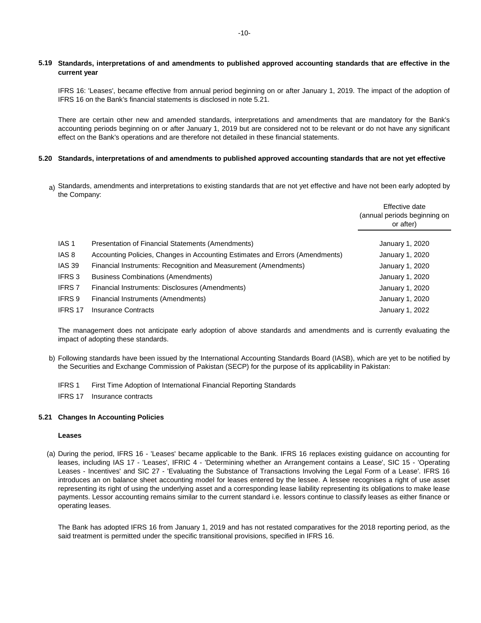#### 5.19 Standards, interpretations of and amendments to published approved accounting standards that are effective in the **current year**

IFRS 16: 'Leases', became effective from annual period beginning on or after January 1, 2019. The impact of the adoption of IFRS 16 on the Bank's financial statements is disclosed in note 5.21.

There are certain other new and amended standards, interpretations and amendments that are mandatory for the Bank's accounting periods beginning on or after January 1, 2019 but are considered not to be relevant or do not have any significant effect on the Bank's operations and are therefore not detailed in these financial statements.

#### **5.20 Standards, interpretations of and amendments to published approved accounting standards that are not yet effective**

<sub>a)</sub> Standards, amendments and interpretations to existing standards that are not yet effective and have not been early adopted by the Company:

|                  |                                                                              | Effective date<br>(annual periods beginning on<br>or after) |
|------------------|------------------------------------------------------------------------------|-------------------------------------------------------------|
| IAS <sub>1</sub> | Presentation of Financial Statements (Amendments)                            | January 1, 2020                                             |
| IAS 8            | Accounting Policies, Changes in Accounting Estimates and Errors (Amendments) | January 1, 2020                                             |
| <b>IAS 39</b>    | Financial Instruments: Recognition and Measurement (Amendments)              | January 1, 2020                                             |
| IFRS 3           | <b>Business Combinations (Amendments)</b>                                    | January 1, 2020                                             |
| <b>IFRS 7</b>    | Financial Instruments: Disclosures (Amendments)                              | January 1, 2020                                             |
| IFRS 9           | Financial Instruments (Amendments)                                           | January 1, 2020                                             |
| IFRS 17          | Insurance Contracts                                                          | January 1, 2022                                             |

The management does not anticipate early adoption of above standards and amendments and is currently evaluating the impact of adopting these standards.

b) Following standards have been issued by the International Accounting Standards Board (IASB), which are yet to be notified by the Securities and Exchange Commission of Pakistan (SECP) for the purpose of its applicability in Pakistan:

IFRS 1 First Time Adoption of International Financial Reporting Standards

IFRS 17 Insurance contracts

#### **5.21 Changes In Accounting Policies**

#### **Leases**

(a) During the period, IFRS 16 - 'Leases' became applicable to the Bank. IFRS 16 replaces existing guidance on accounting for leases, including IAS 17 - 'Leases', IFRIC 4 - 'Determining whether an Arrangement contains a Lease', SIC 15 - 'Operating Leases - Incentives' and SIC 27 - 'Evaluating the Substance of Transactions Involving the Legal Form of a Lease'. IFRS 16 introduces an on balance sheet accounting model for leases entered by the lessee. A lessee recognises a right of use asset representing its right of using the underlying asset and a corresponding lease liability representing its obligations to make lease payments. Lessor accounting remains similar to the current standard i.e. lessors continue to classify leases as either finance or operating leases.

The Bank has adopted IFRS 16 from January 1, 2019 and has not restated comparatives for the 2018 reporting period, as the said treatment is permitted under the specific transitional provisions, specified in IFRS 16.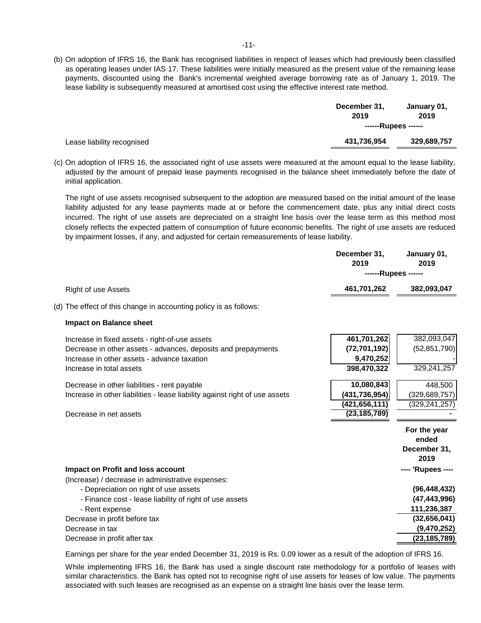(b) On adoption of IFRS 16, the Bank has recognised liabilities in respect of leases which had previously been classified as operating leases under IAS 17. These liabilities were initially measured as the present value of the remaining lease payments, discounted using the Bank's incremental weighted average borrowing rate as of January 1, 2019. The lease liability is subsequently measured at amortised cost using the effective interest rate method.

|                            | December 31,<br>2019 | January 01,<br>2019 |
|----------------------------|----------------------|---------------------|
|                            | ------Rupees ------  |                     |
| Lease liability recognised | 431,736,954          | 329,689,757         |

(c) On adoption of IFRS 16, the associated right of use assets were measured at the amount equal to the lease liability, adjusted by the amount of prepaid lease payments recognised in the balance sheet immediately before the date of initial application.

The right of use assets recognised subsequent to the adoption are measured based on the initial amount of the lease liability adjusted for any lease payments made at or before the commencement date, plus any initial direct costs incurred. The right of use assets are depreciated on a straight line basis over the lease term as this method most closely reflects the expected pattern of consumption of future economic benefits. The right of use assets are reduced by impairment losses, if any, and adjusted for certain remeasurements of lease liability.

|                                                                             | December 31,<br>2019 | January 01,<br>2019   |
|-----------------------------------------------------------------------------|----------------------|-----------------------|
|                                                                             | ------Rupees ------  |                       |
| <b>Right of use Assets</b>                                                  | 461,701,262          | 382,093,047           |
| (d) The effect of this change in accounting policy is as follows:           |                      |                       |
| <b>Impact on Balance sheet</b>                                              |                      |                       |
| Increase in fixed assets - right-of-use assets                              | 461,701,262          | 382,093,047           |
| Decrease in other assets - advances, deposits and prepayments               | (72, 701, 192)       | (52, 851, 790)        |
| Increase in other assets - advance taxation                                 | 9,470,252            |                       |
| Increase in total assets                                                    | 398,470,322          | 329,241,257           |
| Decrease in other liabilities - rent payable                                | 10,080,843           | 448,500               |
| Increase in other liabilities - lease liability against right of use assets | (431, 736, 954)      | (329, 689, 757)       |
|                                                                             | (421, 656, 111)      | (329, 241, 257)       |
| Decrease in net assets                                                      | (23, 185, 789)       |                       |
|                                                                             |                      | For the year<br>ended |
|                                                                             |                      | December 31,<br>2019  |
| Impact on Profit and loss account                                           |                      | ---- 'Rupees ----     |
| (Increase) / decrease in administrative expenses:                           |                      |                       |
| - Depreciation on right of use assets                                       |                      | (96, 448, 432)        |
| - Finance cost - lease liability of right of use assets                     |                      | (47, 443, 996)        |
| - Rent expense                                                              |                      | 111,236,387           |
| Decrease in profit before tax                                               |                      | (32,656,041)          |
| Decrease in tax                                                             |                      | (9,470,252)           |
| Decrease in profit after tax                                                |                      | (23,185,789)          |
|                                                                             |                      |                       |

Earnings per share for the year ended December 31, 2019 is Rs. 0.09 lower as a result of the adoption of IFRS 16.

While implementing IFRS 16, the Bank has used a single discount rate methodology for a portfolio of leases with similar characteristics. the Bank has opted not to recognise right of use assets for leases of low value. The payments associated with such leases are recognised as an expense on a straight line basis over the lease term.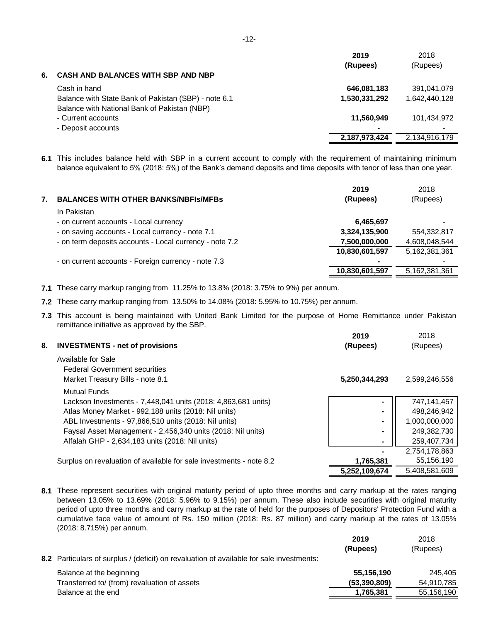|                                                      | 2019          | 2018          |
|------------------------------------------------------|---------------|---------------|
|                                                      | (Rupees)      | (Rupees)      |
| <b>CASH AND BALANCES WITH SBP AND NBP</b>            |               |               |
| Cash in hand                                         | 646,081,183   | 391,041,079   |
| Balance with State Bank of Pakistan (SBP) - note 6.1 | 1,530,331,292 | 1,642,440,128 |
| Balance with National Bank of Pakistan (NBP)         |               |               |
| - Current accounts                                   | 11,560,949    | 101,434,972   |
| - Deposit accounts                                   |               |               |
|                                                      | 2,187,973,424 | 2,134,916,179 |
|                                                      |               |               |

**6.1** This includes balance held with SBP in a current account to comply with the requirement of maintaining minimum balance equivalent to 5% (2018: 5%) of the Bank's demand deposits and time deposits with tenor of less than one year.

|    |                                                         | 2019           | 2018                     |
|----|---------------------------------------------------------|----------------|--------------------------|
| 7. | <b>BALANCES WITH OTHER BANKS/NBFIS/MFBS</b>             | (Rupees)       | (Rupees)                 |
|    | In Pakistan                                             |                |                          |
|    | - on current accounts - Local currency                  | 6,465,697      | $\overline{\phantom{0}}$ |
|    | - on saving accounts - Local currency - note 7.1        | 3,324,135,900  | 554,332,817              |
|    | - on term deposits accounts - Local currency - note 7.2 | 7,500,000,000  | 4,608,048,544            |
|    |                                                         | 10,830,601,597 | 5,162,381,361            |
|    | - on current accounts - Foreign currency - note 7.3     | ۰              |                          |
|    |                                                         | 10,830,601,597 | 5.162.381.361            |

**7.1** These carry markup ranging from 11.25% to 13.8% (2018: 3.75% to 9%) per annum.

**7.2** These carry markup ranging from 13.50% to 14.08% (2018: 5.95% to 10.75%) per annum.

**7.3** This account is being maintained with United Bank Limited for the purpose of Home Remittance under Pakistan remittance initiative as approved by the SBP.

| 8. | <b>INVESTMENTS - net of provisions</b>                                                         | 2019<br>(Rupees) | 2018<br>(Rupees) |
|----|------------------------------------------------------------------------------------------------|------------------|------------------|
|    | Available for Sale<br><b>Federal Government securities</b><br>Market Treasury Bills - note 8.1 | 5,250,344,293    | 2,599,246,556    |
|    | <b>Mutual Funds</b>                                                                            |                  |                  |
|    | Lackson Investments - 7,448,041 units (2018: 4,863,681 units)                                  |                  | 747,141,457      |
|    | Atlas Money Market - 992,188 units (2018: Nil units)                                           |                  | 498,246,942      |
|    | ABL Investments - 97,866,510 units (2018: Nil units)                                           |                  | 1,000,000,000    |
|    | Faysal Asset Management - 2,456,340 units (2018: Nil units)                                    |                  | 249,382,730      |
|    | Alfalah GHP - 2,634,183 units (2018: Nil units)                                                | ۰                | 259,407,734      |
|    |                                                                                                |                  | 2,754,178,863    |
|    | Surplus on revaluation of available for sale investments - note 8.2                            | 1,765,381        | 55,156,190       |
|    |                                                                                                | 5,252,109,674    | 5,408,581,609    |

**8.1** These represent securities with original maturity period of upto three months and carry markup at the rates ranging between 13.05% to 13.69% (2018: 5.96% to 9.15%) per annum. These also include securities with original maturity period of upto three months and carry markup at the rate of held for the purposes of Depositors' Protection Fund with a cumulative face value of amount of Rs. 150 million (2018: Rs. 87 million) and carry markup at the rates of 13.05% (2018: 8.715%) per annum.

|                                                                                          | 2019<br>(Rupees) | 2018<br>(Rupees) |
|------------------------------------------------------------------------------------------|------------------|------------------|
| 8.2 Particulars of surplus / (deficit) on revaluation of available for sale investments: |                  |                  |
| Balance at the beginning                                                                 | 55,156,190       | 245.405          |
| Transferred to/ (from) revaluation of assets                                             | (53, 390, 809)   | 54,910,785       |
| Balance at the end                                                                       | 1,765,381        | 55,156,190       |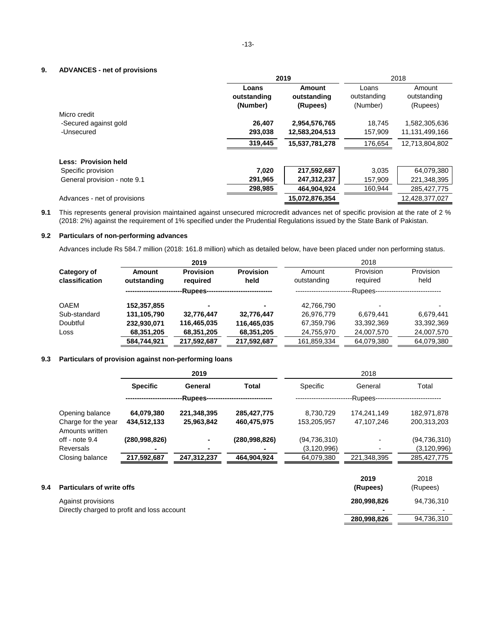#### **9. ADVANCES - net of provisions**

|                              |                                  | 2019                                     | 2018                             |                                   |  |
|------------------------------|----------------------------------|------------------------------------------|----------------------------------|-----------------------------------|--|
|                              | Loans<br>outstanding<br>(Number) | <b>Amount</b><br>outstanding<br>(Rupees) | Loans<br>outstanding<br>(Number) | Amount<br>outstanding<br>(Rupees) |  |
| Micro credit                 |                                  |                                          |                                  |                                   |  |
| -Secured against gold        | 26,407                           | 2,954,576,765                            | 18.745                           | 1,582,305,636                     |  |
| -Unsecured                   | 293,038                          | 12,583,204,513                           | 157,909                          | 11,131,499,166                    |  |
|                              | 319,445                          | 15,537,781,278                           | 176,654                          | 12,713,804,802                    |  |
| <b>Less: Provision held</b>  |                                  |                                          |                                  |                                   |  |
| Specific provision           | 7,020                            | 217,592,687                              | 3.035                            | 64,079,380                        |  |
| General provision - note 9.1 | 291,965                          | 247,312,237                              | 157,909                          | 221,348,395                       |  |
|                              | 298,985                          | 464,904,924                              | 160,944                          | 285,427,775                       |  |
| Advances - net of provisions |                                  | 15,072,876,354                           |                                  | 12,428,377,027                    |  |

**9.1** This represents general provision maintained against unsecured microcredit advances net of specific provision at the rate of 2 % (2018: 2%) against the requirement of 1% specified under the Prudential Regulations issued by the State Bank of Pakistan.

#### **9.2 Particulars of non-performing advances**

Advances include Rs 584.7 million (2018: 161.8 million) which as detailed below, have been placed under non performing status.

|                       | 2019                         |                          | 2018                  |                       |                   |  |  |
|-----------------------|------------------------------|--------------------------|-----------------------|-----------------------|-------------------|--|--|
| Amount<br>outstanding | <b>Provision</b><br>required | <b>Provision</b><br>held | Amount<br>outstanding | Provision<br>required | Provision<br>held |  |  |
|                       | -Rupees-                     |                          | -Rupees-              |                       |                   |  |  |
| 152,357,855           | $\blacksquare$               |                          | 42,766,790            |                       | -                 |  |  |
| 131,105,790           | 32,776,447                   | 32,776,447               | 26,976,779            | 6.679.441             | 6.679.441         |  |  |
| 232,930,071           | 116,465,035                  | 116,465,035              | 67,359,796            | 33,392,369            | 33,392,369        |  |  |
| 68,351,205            | 68,351,205                   | 68,351,205               | 24,755,970            | 24,007,570            | 24,007,570        |  |  |
| 584,744,921           | 217,592,687                  | 217,592,687              | 161,859,334           | 64,079,380            | 64,079,380        |  |  |
|                       |                              |                          |                       |                       |                   |  |  |

#### **9.3 Particulars of provision against non-performing loans**

|     |                                                                   |                 | 2019                           |                 | 2018           |             |                |  |  |
|-----|-------------------------------------------------------------------|-----------------|--------------------------------|-----------------|----------------|-------------|----------------|--|--|
|     |                                                                   | <b>Specific</b> | General                        | Total           | Specific       | General     | Total          |  |  |
|     |                                                                   |                 | -Rupees----------------------- |                 |                | -Rupees--   |                |  |  |
|     | Opening balance                                                   | 64,079,380      | 221,348,395                    | 285,427,775     | 8,730,729      | 174.241.149 | 182,971,878    |  |  |
|     | Charge for the year<br>Amounts written                            | 434,512,133     | 25,963,842                     | 460,475,975     | 153,205,957    | 47,107,246  | 200,313,203    |  |  |
|     | off - note $9.4$                                                  | (280,998,826)   |                                | (280, 998, 826) | (94, 736, 310) |             | (94, 736, 310) |  |  |
|     | <b>Reversals</b>                                                  |                 | ۰                              |                 | (3, 120, 996)  |             | (3, 120, 996)  |  |  |
|     | Closing balance                                                   | 217,592,687     | 247,312,237                    | 464,904,924     | 64,079,380     | 221,348,395 | 285, 427, 775  |  |  |
|     |                                                                   |                 |                                |                 |                | 2019        | 2018           |  |  |
| 9.4 | <b>Particulars of write offs</b>                                  | (Rupees)        | (Rupees)                       |                 |                |             |                |  |  |
|     | Against provisions<br>Directly charged to profit and loss account |                 |                                |                 |                | 280,998,826 | 94,736,310     |  |  |

**280,998,826** 94,736,310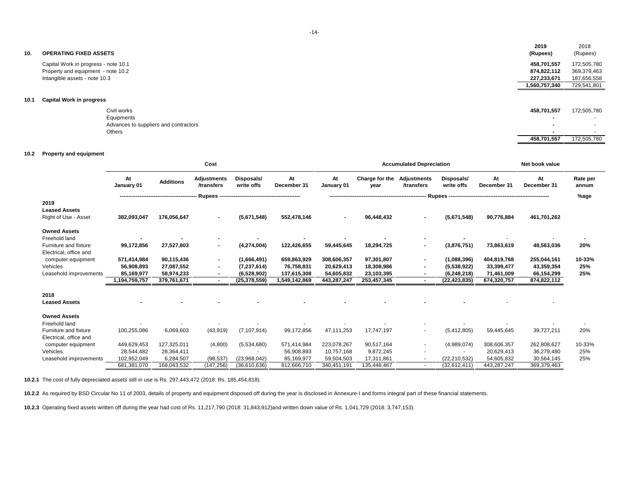| 10.  | <b>OPERATING FIXED ASSETS</b>        | 2019<br>(Rupees)    | 2018<br>(Rupees) |
|------|--------------------------------------|---------------------|------------------|
|      | Capital Work in progress - note 10.1 | 458,701,557         | 172,505,780      |
|      | Property and equipment - note 10.2   | 874,822,112         | 369,379,463      |
|      | Intangible assets - note 10.3        | 227,233,671         | 187,656,558      |
|      |                                      | 1,560,757,340       | 729,541,801      |
| 10.1 | <b>Capital Work in progress</b>      |                     |                  |
|      | $\sim$ $\sim$ $\sim$                 | $1000 - 2010 - 200$ | 170.525.70       |

| Civil works                           | 458,701,557              | 172,505,780              |
|---------------------------------------|--------------------------|--------------------------|
| Equipments                            |                          | . .                      |
| Advances to suppliers and contractors | $\overline{\phantom{a}}$ | $\overline{\phantom{a}}$ |
| Others                                |                          | $\sim$                   |
|                                       | 458,701,557              | 172,505,780              |

#### **10.2 Property and equipment**

|                        | Cost             |                  |                                  |                          |                   | <b>Accumulated Depreciation</b> |                        |                                         |                          | Net book value    |                   |                   |
|------------------------|------------------|------------------|----------------------------------|--------------------------|-------------------|---------------------------------|------------------------|-----------------------------------------|--------------------------|-------------------|-------------------|-------------------|
|                        | At<br>January 01 | <b>Additions</b> | <b>Adjustments</b><br>/transfers | Disposals/<br>write offs | At<br>December 31 | At<br>January 01                | Charge for the<br>year | <b>Adjustments</b><br><b>/transfers</b> | Disposals/<br>write offs | At<br>December 31 | At<br>December 31 | Rate per<br>annum |
|                        |                  |                  | Rupees --                        |                          |                   |                                 |                        |                                         | Rupees --                |                   |                   | %age              |
| 2019                   |                  |                  |                                  |                          |                   |                                 |                        |                                         |                          |                   |                   |                   |
| <b>Leased Assets</b>   |                  |                  |                                  |                          |                   |                                 |                        |                                         |                          |                   |                   |                   |
| Right of Use - Asset   | 382,093,047      | 176,056,647      | $\blacksquare$                   | (5,671,548)              | 552,478,146       |                                 | 96,448,432             | $\blacksquare$                          | (5,671,548)              | 90,776,884        | 461,701,262       |                   |
| <b>Owned Assets</b>    |                  |                  |                                  |                          |                   |                                 |                        |                                         |                          |                   |                   |                   |
| Freehold land          |                  |                  |                                  |                          |                   |                                 |                        |                                         |                          |                   |                   |                   |
| Furniture and fixture  | 99,172,856       | 27,527,803       | $\blacksquare$                   | (4,274,004)              | 122,426,655       | 59,445,645                      | 18,294,725             |                                         | (3,876,751)              | 73,863,619        | 48,563,036        | 20%               |
| Electrical, office and |                  |                  |                                  |                          |                   |                                 |                        |                                         |                          |                   |                   |                   |
| computer equipment     | 571,414,984      | 90,115,436       | $\blacksquare$                   | (1,666,491)              | 659,863,929       | 308,606,357                     | 97,301,807             | $\blacksquare$                          | (1,088,396)              | 404,819,768       | 255,044,161       | 10-33%            |
| Vehicles               | 56,908,893       | 27,087,552       |                                  | (7, 237, 614)            | 76,758,831        | 20,629,413                      | 18,308,986             |                                         | (5,538,922)              | 33,399,477        | 43,359,354        | 25%               |
| Leasehold improvements | 85,169,977       | 58,974,233       | $\blacksquare$                   | (6,528,902)              | 137,615,308       | 54,605,832                      | 23,103,395             |                                         | (6, 248, 218)            | 71,461,009        | 66,154,299        | 25%               |
|                        | 1,194,759,757    | 379,761,671      | $\blacksquare$                   | (25, 378, 559)           | 1,549,142,869     | 443,287,247                     | 253,457,345            |                                         | (22, 423, 835)           | 674,320,757       | 874,822,112       |                   |
| 2018                   |                  |                  |                                  |                          |                   |                                 |                        |                                         |                          |                   |                   |                   |
| <b>Leased Assets</b>   |                  |                  |                                  |                          |                   |                                 |                        |                                         |                          |                   |                   |                   |
| <b>Owned Assets</b>    |                  |                  |                                  |                          |                   |                                 |                        |                                         |                          |                   |                   |                   |
| Freehold land          |                  |                  |                                  |                          |                   |                                 |                        |                                         |                          |                   |                   |                   |
| Furniture and fixture  | 100,255,086      | 6,069,603        | (43,919)                         | (7, 107, 914)            | 99,172,856        | 47,111,253                      | 17,747,197             |                                         | (5,412,805)              | 59,445,645        | 39,727,211        | 20%               |
| Electrical, office and |                  |                  |                                  |                          |                   |                                 |                        |                                         |                          |                   |                   |                   |
| computer equipment     | 449,629,453      | 127,325,011      | (4,800)                          | (5,534,680)              | 571,414,984       | 223,078,267                     | 90,517,164             |                                         | (4,989,074)              | 308,606,357       | 262,808,627       | 10-33%            |
| Vehicles               | 28,544,482       | 28,364,411       |                                  |                          | 56,908,893        | 10,757,168                      | 9,872,245              |                                         |                          | 20,629,413        | 36,279,480        | 25%               |
| Leasehold improvements | 102,952,049      | 6,284,507        | (98, 537)                        | (23,968,042)             | 85,169,977        | 59,504,503                      | 17,311,861             |                                         | (22, 210, 532)           | 54,605,832        | 30,564,145        | 25%               |
|                        | 681,381,070      | 168,043,532      | (147, 256)                       | (36,610,636)             | 812,666,710       | 340,451,191                     | 135,448,467            |                                         | (32,612,411)             | 443,287,247       | 369,379,463       |                   |

**10.2.1** The cost of fully depreciated assets still in use is Rs. 297,443,472 (2018: Rs. 185,454,818).

**10.2.2** As required by BSD Circular No 11 of 2003, details of property and equipment disposed off during the year is disclosed in Annexure-I and forms integral part of these financial statements.

**10.2.3** Operating fixed assets written off during the year had cost of Rs. 11,217,790 (2018: 31,843,912)and written down value of Rs. 1,041,729 (2018: 3,747,153).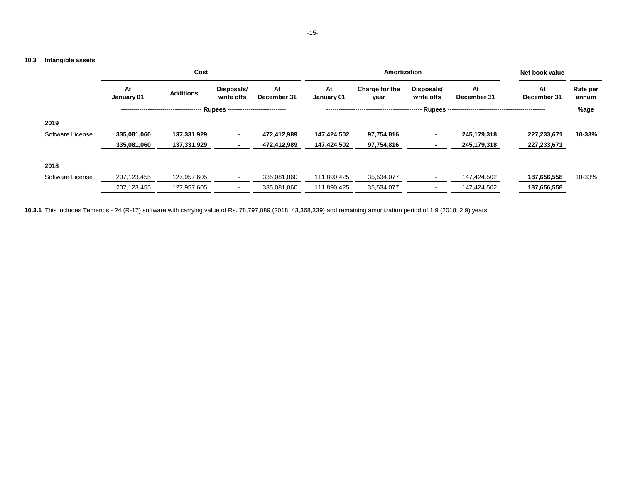## **10.3 Intangible assets**

|                  | Cost             |                  |                                            |                   |                  | Amortization           |                          |                                          |                   |                   |  |
|------------------|------------------|------------------|--------------------------------------------|-------------------|------------------|------------------------|--------------------------|------------------------------------------|-------------------|-------------------|--|
|                  | At<br>January 01 | <b>Additions</b> | Disposals/<br>write offs                   | At<br>December 31 | At<br>January 01 | Charge for the<br>year | Disposals/<br>write offs | At<br>December 31                        | At<br>December 31 | Rate per<br>annum |  |
|                  |                  |                  | <b>Rupees ----------------------------</b> |                   |                  |                        |                          | · Rupees ------------------------------- |                   | %age              |  |
| 2019             |                  |                  |                                            |                   |                  |                        |                          |                                          |                   |                   |  |
| Software License | 335,081,060      | 137,331,929      |                                            | 472,412,989       | 147,424,502      | 97,754,816             |                          | 245,179,318                              | 227,233,671       | 10-33%            |  |
|                  | 335,081,060      | 137,331,929      |                                            | 472,412,989       | 147,424,502      | 97,754,816             |                          | 245,179,318                              | 227,233,671       |                   |  |
| 2018             |                  |                  |                                            |                   |                  |                        |                          |                                          |                   |                   |  |
| Software License | 207,123,455      | 127,957,605      |                                            | 335,081,060       | 111,890,425      | 35,534,077             |                          | 147,424,502                              | 187,656,558       | 10-33%            |  |
|                  | 207,123,455      | 127,957,605      |                                            | 335,081,060       | 111,890,425      | 35,534,077             |                          | 147,424,502                              | 187,656,558       |                   |  |

**10.3.1** This includes Temenos - 24 (R-17) software with carrying value of Rs. 78,797,089 (2018: 43,368,339) and remaining amortization period of 1.9 (2018: 2.9) years.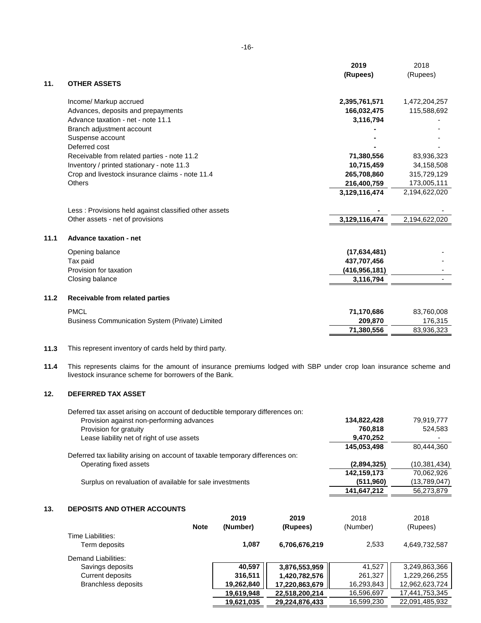|      |                                                        | 2019            | 2018          |
|------|--------------------------------------------------------|-----------------|---------------|
| 11.  | <b>OTHER ASSETS</b>                                    | (Rupees)        | (Rupees)      |
|      |                                                        |                 |               |
|      | Income/ Markup accrued                                 | 2,395,761,571   | 1,472,204,257 |
|      | Advances, deposits and prepayments                     | 166,032,475     | 115,588,692   |
|      | Advance taxation - net - note 11.1                     | 3,116,794       |               |
|      | Branch adjustment account                              |                 |               |
|      | Suspense account                                       |                 |               |
|      | Deferred cost                                          |                 |               |
|      | Receivable from related parties - note 11.2            | 71,380,556      | 83,936,323    |
|      | Inventory / printed stationary - note 11.3             | 10,715,459      | 34,158,508    |
|      | Crop and livestock insurance claims - note 11.4        | 265,708,860     | 315,729,129   |
|      | <b>Others</b>                                          | 216,400,759     | 173,005,111   |
|      |                                                        | 3,129,116,474   | 2,194,622,020 |
|      | Less: Provisions held against classified other assets  |                 |               |
|      | Other assets - net of provisions                       | 3,129,116,474   | 2,194,622,020 |
| 11.1 | <b>Advance taxation - net</b>                          |                 |               |
|      | Opening balance                                        | (17,634,481)    |               |
|      | Tax paid                                               | 437,707,456     |               |
|      | Provision for taxation                                 | (416, 956, 181) |               |
|      | Closing balance                                        | 3,116,794       |               |
| 11.2 | <b>Receivable from related parties</b>                 |                 |               |
|      | <b>PMCL</b>                                            | 71,170,686      | 83,760,008    |
|      | <b>Business Communication System (Private) Limited</b> | 209,870         | 176,315       |
|      |                                                        | 71,380,556      | 83,936,323    |
|      |                                                        |                 |               |

#### **11.3** This represent inventory of cards held by third party.

**11.4** This represents claims for the amount of insurance premiums lodged with SBP under crop loan insurance scheme and livestock insurance scheme for borrowers of the Bank.

#### **12. DEFERRED TAX ASSET**

| Deferred tax asset arising on account of deductible temporary differences on:  |             |                |
|--------------------------------------------------------------------------------|-------------|----------------|
| Provision against non-performing advances                                      | 134,822,428 | 79,919,777     |
| Provision for gratuity                                                         | 760.818     | 524,583        |
| Lease liability net of right of use assets                                     | 9,470,252   | ۰              |
|                                                                                | 145,053,498 | 80.444.360     |
| Deferred tax liability arising on account of taxable temporary differences on: |             |                |
| Operating fixed assets                                                         | (2,894,325) | (10, 381, 434) |
|                                                                                | 142,159,173 | 70,062,926     |
| Surplus on revaluation of available for sale investments                       | (511, 960)  | (13,789,047)   |
|                                                                                | 141,647,212 | 56,273,879     |

#### **13. DEPOSITS AND OTHER ACCOUNTS**

|                            |             | 2019       | 2019           | 2018       | 2018           |
|----------------------------|-------------|------------|----------------|------------|----------------|
|                            | <b>Note</b> | (Number)   | (Rupees)       | (Number)   | (Rupees)       |
| Time Liabilities:          |             |            |                |            |                |
| Term deposits              |             | 1,087      | 6,706,676,219  | 2,533      | 4,649,732,587  |
| Demand Liabilities:        |             |            |                |            |                |
| Savings deposits           |             | 40,597     | 3,876,553,959  | 41,527     | 3,249,863,366  |
| <b>Current deposits</b>    |             | 316,511    | 1,420,782,576  | 261,327    | 1,229,266,255  |
| <b>Branchless deposits</b> |             | 19,262,840 | 17,220,863,679 | 16,293,843 | 12,962,623,724 |
|                            |             | 19,619,948 | 22,518,200,214 | 16,596,697 | 17,441,753,345 |
|                            |             | 19,621,035 | 29,224,876,433 | 16,599,230 | 22,091,485,932 |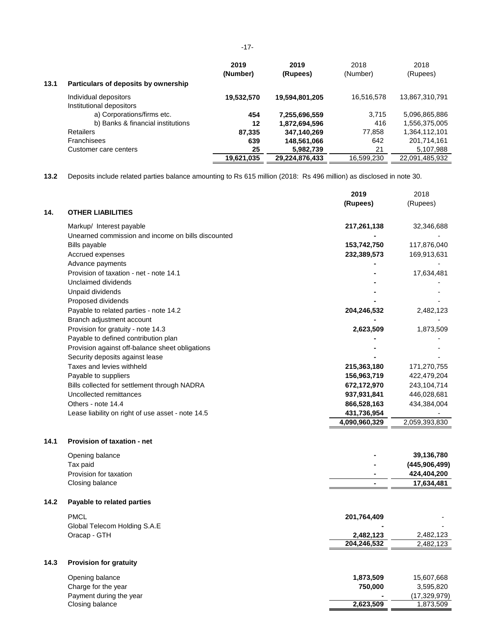|      |                                      | 2019       | 2019           | 2018       | 2018           |
|------|--------------------------------------|------------|----------------|------------|----------------|
|      |                                      | (Number)   | (Rupees)       | (Number)   | (Rupees)       |
| 13.1 | Particulars of deposits by ownership |            |                |            |                |
|      | Individual depositors                | 19,532,570 | 19,594,801,205 | 16,516,578 | 13,867,310,791 |
|      | Institutional depositors             |            |                |            |                |
|      | a) Corporations/firms etc.           | 454        | 7,255,696,559  | 3,715      | 5,096,865,886  |
|      | b) Banks & financial institutions    | 12         | 1,872,694,596  | 416        | 1,556,375,005  |
|      | <b>Retailers</b>                     | 87,335     | 347,140,269    | 77,858     | 1,364,112,101  |
|      | <b>Franchisees</b>                   | 639        | 148,561,066    | 642        | 201,714,161    |
|      | Customer care centers                | 25         | 5,982,739      | 21         | 5,107,988      |
|      |                                      | 19,621,035 | 29.224.876.433 | 16,599,230 | 22,091,485,932 |

**13.2** Deposits include related parties balance amounting to Rs 615 million (2018: Rs 496 million) as disclosed in note 30.

|      |                                                    | 2019          | 2018           |
|------|----------------------------------------------------|---------------|----------------|
|      |                                                    | (Rupees)      | (Rupees)       |
| 14.  | <b>OTHER LIABILITIES</b>                           |               |                |
|      | Markup/ Interest payable                           | 217,261,138   | 32,346,688     |
|      | Unearned commission and income on bills discounted |               |                |
|      | <b>Bills payable</b>                               | 153,742,750   | 117,876,040    |
|      | Accrued expenses                                   | 232,389,573   | 169,913,631    |
|      | Advance payments                                   |               |                |
|      | Provision of taxation - net - note 14.1            |               | 17,634,481     |
|      | Unclaimed dividends                                |               |                |
|      | Unpaid dividends                                   |               |                |
|      | Proposed dividends                                 |               |                |
|      | Payable to related parties - note 14.2             | 204,246,532   | 2,482,123      |
|      | Branch adjustment account                          |               |                |
|      | Provision for gratuity - note 14.3                 | 2,623,509     | 1,873,509      |
|      | Payable to defined contribution plan               |               |                |
|      | Provision against off-balance sheet obligations    |               |                |
|      | Security deposits against lease                    |               |                |
|      | Taxes and levies withheld                          | 215,363,180   | 171,270,755    |
|      | Payable to suppliers                               | 156,963,719   | 422,479,204    |
|      | Bills collected for settlement through NADRA       | 672,172,970   | 243,104,714    |
|      | Uncollected remittances                            | 937,931,841   | 446,028,681    |
|      | Others - note 14.4                                 | 866,528,163   | 434,384,004    |
|      | Lease liability on right of use asset - note 14.5  | 431,736,954   |                |
|      |                                                    | 4,090,960,329 | 2,059,393,830  |
|      |                                                    |               |                |
| 14.1 | Provision of taxation - net                        |               |                |
|      | Opening balance                                    |               | 39,136,780     |
|      | Tax paid                                           |               | (445,906,499)  |
|      | Provision for taxation                             |               | 424,404,200    |
|      | Closing balance                                    | ä,            | 17,634,481     |
|      |                                                    |               |                |
| 14.2 | Payable to related parties                         |               |                |
|      | PMCL                                               | 201,764,409   |                |
|      | Global Telecom Holding S.A.E                       |               |                |
|      | Oracap - GTH                                       | 2,482,123     | 2,482,123      |
|      |                                                    | 204,246,532   | 2,482,123      |
| 14.3 | <b>Provision for gratuity</b>                      |               |                |
|      |                                                    |               |                |
|      | Opening balance                                    | 1,873,509     | 15,607,668     |
|      | Charge for the year                                | 750,000       | 3,595,820      |
|      | Payment during the year                            |               | (17, 329, 979) |
|      | Closing balance                                    | 2,623,509     | 1,873,509      |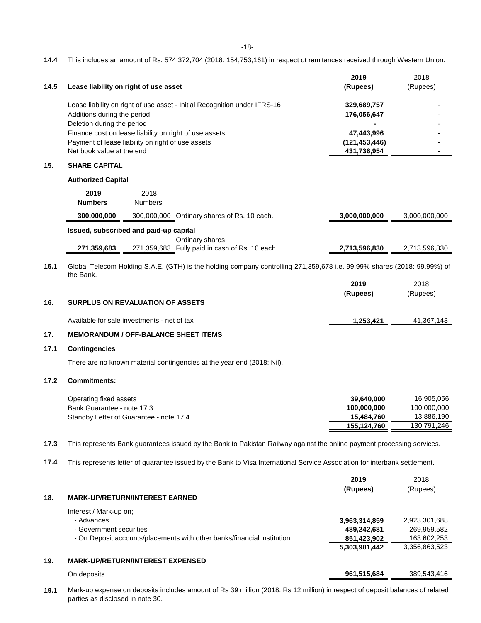#### **14.4** This includes an amount of Rs. 574,372,704 (2018: 154,753,161) in respect ot remitances received through Western Union.

|      |                                                           |                                                        |                                                                                                                            | 2019                         | 2018                         |
|------|-----------------------------------------------------------|--------------------------------------------------------|----------------------------------------------------------------------------------------------------------------------------|------------------------------|------------------------------|
| 14.5 |                                                           | Lease liability on right of use asset                  |                                                                                                                            | (Rupees)                     | (Rupees)                     |
|      | Additions during the period<br>Deletion during the period |                                                        | Lease liability on right of use asset - Initial Recognition under IFRS-16                                                  | 329,689,757<br>176,056,647   |                              |
|      |                                                           | Finance cost on lease liability on right of use assets |                                                                                                                            | 47,443,996                   |                              |
|      |                                                           | Payment of lease liability on right of use assets      |                                                                                                                            | (121, 453, 446)              |                              |
|      | Net book value at the end                                 |                                                        |                                                                                                                            | 431,736,954                  |                              |
| 15.  | <b>SHARE CAPITAL</b>                                      |                                                        |                                                                                                                            |                              |                              |
|      | <b>Authorized Capital</b>                                 |                                                        |                                                                                                                            |                              |                              |
|      | 2019                                                      | 2018                                                   |                                                                                                                            |                              |                              |
|      | <b>Numbers</b>                                            | <b>Numbers</b>                                         |                                                                                                                            |                              |                              |
|      | 300,000,000                                               |                                                        | 300,000,000 Ordinary shares of Rs. 10 each.                                                                                | 3,000,000,000                | 3,000,000,000                |
|      |                                                           | Issued, subscribed and paid-up capital                 |                                                                                                                            |                              |                              |
|      | 271,359,683                                               |                                                        | Ordinary shares<br>271,359,683 Fully paid in cash of Rs. 10 each.                                                          | 2,713,596,830                | 2,713,596,830                |
| 15.1 |                                                           |                                                        | Global Telecom Holding S.A.E. (GTH) is the holding company controlling 271,359,678 i.e. 99.99% shares (2018: 99.99%) of    |                              |                              |
|      | the Bank.                                                 |                                                        |                                                                                                                            | 2019                         | 2018                         |
|      |                                                           |                                                        |                                                                                                                            | (Rupees)                     | (Rupees)                     |
| 16.  |                                                           | <b>SURPLUS ON REVALUATION OF ASSETS</b>                |                                                                                                                            |                              |                              |
|      |                                                           | Available for sale investments - net of tax            |                                                                                                                            | 1,253,421                    | 41,367,143                   |
| 17.  |                                                           | <b>MEMORANDUM / OFF-BALANCE SHEET ITEMS</b>            |                                                                                                                            |                              |                              |
| 17.1 | <b>Contingencies</b>                                      |                                                        |                                                                                                                            |                              |                              |
|      |                                                           |                                                        | There are no known material contingencies at the year end (2018: Nil).                                                     |                              |                              |
| 17.2 | <b>Commitments:</b>                                       |                                                        |                                                                                                                            |                              |                              |
|      | Operating fixed assets                                    |                                                        |                                                                                                                            | 39,640,000                   | 16,905,056                   |
|      | Bank Guarantee - note 17.3                                |                                                        |                                                                                                                            | 100,000,000                  | 100,000,000                  |
|      |                                                           | Standby Letter of Guarantee - note 17.4                |                                                                                                                            | 15,484,760                   | 13,886,190                   |
|      |                                                           |                                                        |                                                                                                                            | 155,124,760                  | 130,791,246                  |
| 17.3 |                                                           |                                                        | This represents Bank guarantees issued by the Bank to Pakistan Railway against the online payment processing services.     |                              |                              |
| 17.4 |                                                           |                                                        | This represents letter of guarantee issued by the Bank to Visa International Service Association for interbank settlement. |                              |                              |
|      |                                                           |                                                        |                                                                                                                            | 2019                         | 2018                         |
|      |                                                           |                                                        |                                                                                                                            | (Rupees)                     | (Rupees)                     |
| 18.  |                                                           | <b>MARK-UP/RETURN/INTEREST EARNED</b>                  |                                                                                                                            |                              |                              |
|      | Interest / Mark-up on;<br>- Advances                      |                                                        |                                                                                                                            |                              |                              |
|      | - Government securities                                   |                                                        |                                                                                                                            | 3,963,314,859<br>489,242,681 | 2,923,301,688<br>269,959,582 |
|      |                                                           |                                                        | - On Deposit accounts/placements with other banks/financial institution                                                    | 851,423,902                  | 163,602,253                  |
|      |                                                           |                                                        |                                                                                                                            | 5,303,981,442                | 3,356,863,523                |
| 19.  |                                                           | <b>MARK-UP/RETURN/INTEREST EXPENSED</b>                |                                                                                                                            |                              |                              |
|      | On deposits                                               |                                                        |                                                                                                                            | 961,515,684                  | 389,543,416                  |

**19.1** Mark-up expense on deposits includes amount of Rs 39 million (2018: Rs 12 million) in respect of deposit balances of related parties as disclosed in note 30.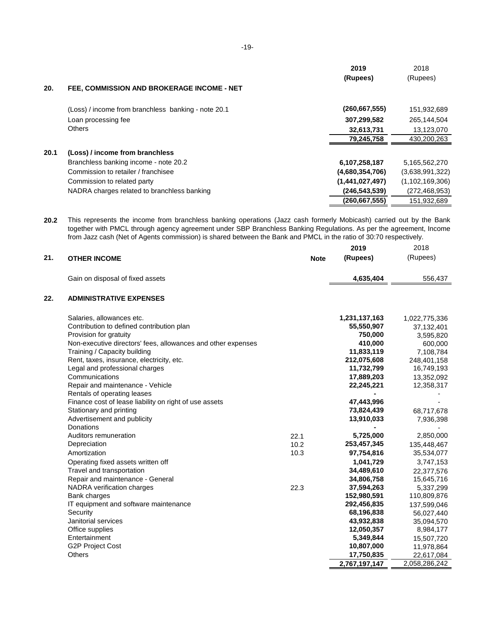| 20.  |                                                     | 2019<br>(Rupees) | 2018<br>(Rupees)   |
|------|-----------------------------------------------------|------------------|--------------------|
|      | FEE, COMMISSION AND BROKERAGE INCOME - NET          |                  |                    |
|      | (Loss) / income from branchless banking - note 20.1 | (260, 667, 555)  | 151,932,689        |
|      | Loan processing fee                                 | 307,299,582      | 265,144,504        |
|      | <b>Others</b>                                       | 32,613,731       | 13,123,070         |
|      |                                                     | 79,245,758       | 430,200,263        |
| 20.1 | (Loss) / income from branchless                     |                  |                    |
|      | Branchless banking income - note 20.2               | 6,107,258,187    | 5,165,562,270      |
|      | Commission to retailer / franchisee                 | (4,680,354,706)  | (3,638,991,322)    |
|      | Commission to related party                         | (1,441,027,497)  | (1, 102, 169, 306) |
|      | NADRA charges related to branchless banking         | (246, 543, 539)  | (272,468,953)      |
|      |                                                     | (260, 667, 555)  | 151,932,689        |

**20.2** This represents the income from branchless banking operations (Jazz cash formerly Mobicash) carried out by the Bank together with PMCL through agency agreement under SBP Branchless Banking Regulations. As per the agreement, Income from Jazz cash (Net of Agents commission) is shared between the Bank and PMCL in the ratio of 30:70 respectively.

|     |                                                              |             | 2019          | 2018          |
|-----|--------------------------------------------------------------|-------------|---------------|---------------|
| 21. | <b>OTHER INCOME</b>                                          | <b>Note</b> | (Rupees)      | (Rupees)      |
|     |                                                              |             |               |               |
|     | Gain on disposal of fixed assets                             |             | 4,635,404     | 556,437       |
| 22. | <b>ADMINISTRATIVE EXPENSES</b>                               |             |               |               |
|     | Salaries, allowances etc.                                    |             | 1,231,137,163 | 1,022,775,336 |
|     | Contribution to defined contribution plan                    |             | 55,550,907    | 37,132,401    |
|     | Provision for gratuity                                       |             | 750,000       | 3,595,820     |
|     | Non-executive directors' fees, allowances and other expenses |             | 410,000       | 600,000       |
|     | Training / Capacity building                                 |             | 11,833,119    | 7,108,784     |
|     | Rent, taxes, insurance, electricity, etc.                    |             | 212,075,608   | 248,401,158   |
|     | Legal and professional charges                               |             | 11,732,799    | 16,749,193    |
|     | Communications                                               |             | 17,889,203    | 13,352,092    |
|     | Repair and maintenance - Vehicle                             |             | 22,245,221    | 12,358,317    |
|     | Rentals of operating leases                                  |             |               |               |
|     | Finance cost of lease liability on right of use assets       |             | 47,443,996    |               |
|     | Stationary and printing                                      |             | 73,824,439    | 68,717,678    |
|     | Advertisement and publicity                                  |             | 13,910,033    | 7,936,398     |
|     | <b>Donations</b>                                             |             |               |               |
|     | Auditors remuneration                                        | 22.1        | 5,725,000     | 2,850,000     |
|     | Depreciation                                                 | 10.2        | 253,457,345   | 135,448,467   |
|     | Amortization                                                 | 10.3        | 97,754,816    | 35,534,077    |
|     | Operating fixed assets written off                           |             | 1,041,729     | 3,747,153     |
|     | Travel and transportation                                    |             | 34,489,610    | 22,377,576    |
|     | Repair and maintenance - General                             |             | 34,806,758    | 15,645,716    |
|     | NADRA verification charges                                   | 22.3        | 37,594,263    | 5,337,299     |
|     | Bank charges                                                 |             | 152,980,591   | 110,809,876   |
|     | IT equipment and software maintenance                        |             | 292,456,835   | 137,599,046   |
|     | Security                                                     |             | 68,196,838    | 56,027,440    |
|     | Janitorial services                                          |             | 43,932,838    | 35,094,570    |
|     | Office supplies                                              |             | 12,050,357    | 8,984,177     |
|     | Entertainment                                                |             | 5,349,844     | 15,507,720    |
|     | <b>G2P Project Cost</b>                                      |             | 10,807,000    | 11,978,864    |
|     | <b>Others</b>                                                |             | 17,750,835    | 22,617,084    |
|     |                                                              |             | 2,767,197,147 | 2,058,286,242 |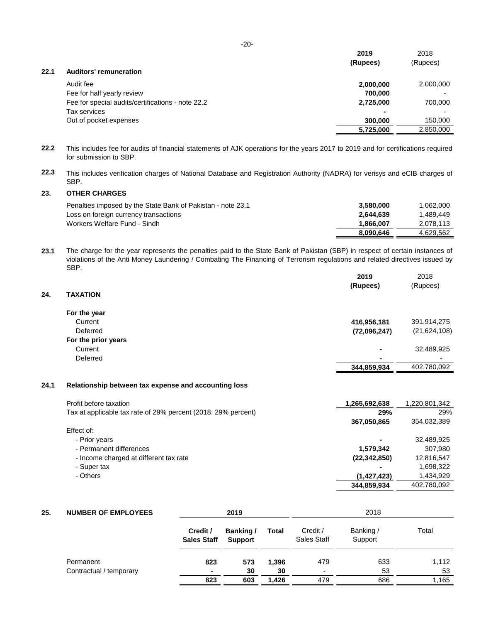|      |                                                   | 2019           | 2018      |
|------|---------------------------------------------------|----------------|-----------|
|      |                                                   | (Rupees)       | (Rupees)  |
| 22.1 | <b>Auditors' remuneration</b>                     |                |           |
|      | Audit fee                                         | 2,000,000      | 2,000,000 |
|      | Fee for half yearly review                        | 700,000        |           |
|      | Fee for special audits/certifications - note 22.2 | 2,725,000      | 700,000   |
|      | Tax services                                      | $\blacksquare$ |           |
|      | Out of pocket expenses                            | 300,000        | 150,000   |
|      |                                                   | 5,725,000      | 2,850,000 |

**22.2** This includes fee for audits of financial statements of AJK operations for the years 2017 to 2019 and for certifications required for submission to SBP.

**22.3** This includes verification charges of National Database and Registration Authority (NADRA) for verisys and eCIB charges of SBP.

#### **23. OTHER CHARGES**

| Penalties imposed by the State Bank of Pakistan - note 23.1 | 3.580.000 | 1,062,000 |
|-------------------------------------------------------------|-----------|-----------|
| Loss on foreign currency transactions                       | 2.644.639 | 1.489.449 |
| Workers Welfare Fund - Sindh                                | 1.866.007 | 2.078.113 |
|                                                             | 8.090.646 | 4.629.562 |

**23.1** The charge for the year represents the penalties paid to the State Bank of Pakistan (SBP) in respect of certain instances of violations of the Anti Money Laundering / Combating The Financing of Terrorism regulations and related directives issued by SBP.

|      |                                                               | 2019          | 2018          |
|------|---------------------------------------------------------------|---------------|---------------|
|      |                                                               | (Rupees)      | (Rupees)      |
| 24.  | <b>TAXATION</b>                                               |               |               |
|      | For the year                                                  |               |               |
|      | Current                                                       | 416,956,181   | 391,914,275   |
|      | Deferred                                                      | (72,096,247)  | (21,624,108)  |
|      | For the prior years                                           |               |               |
|      | Current                                                       |               | 32,489,925    |
|      | Deferred                                                      | -             |               |
|      |                                                               | 344,859,934   | 402,780,092   |
|      |                                                               |               |               |
| 24.1 | Relationship between tax expense and accounting loss          |               |               |
|      | Profit before taxation                                        | 1,265,692,638 | 1,220,801,342 |
|      | Tax at applicable tax rate of 29% percent (2018: 29% percent) | 29%           | 29%           |
|      |                                                               | 367.050.865   | 354.032.389   |

|                                        | 00110001000    | 001001000   |
|----------------------------------------|----------------|-------------|
| Effect of:                             |                |             |
| - Prior years                          | ٠              | 32,489,925  |
| - Permanent differences                | 1.579.342      | 307.980     |
| - Income charged at different tax rate | (22, 342, 850) | 12,816,547  |
| - Super tax                            | $\blacksquare$ | 1,698,322   |
| - Others                               | (1, 427, 423)  | 1.434.929   |
|                                        | 344,859,934    | 402,780,092 |

| 25. | <b>NUMBER OF EMPLOYEES</b> | 2019                           |                             | 2018         |                          |                      |       |
|-----|----------------------------|--------------------------------|-----------------------------|--------------|--------------------------|----------------------|-------|
|     |                            | Credit /<br><b>Sales Staff</b> | Banking /<br><b>Support</b> | <b>Total</b> | Credit /<br>Sales Staff  | Banking /<br>Support | Total |
|     | Permanent                  | 823                            | 573                         | 1,396        | 479                      | 633                  | 1,112 |
|     | Contractual / temporary    | $\sim$                         | 30                          | 30           | $\overline{\phantom{a}}$ | 53                   | 53    |
|     |                            | 823                            | 603                         | 1,426        | 479                      | 686                  | 1,165 |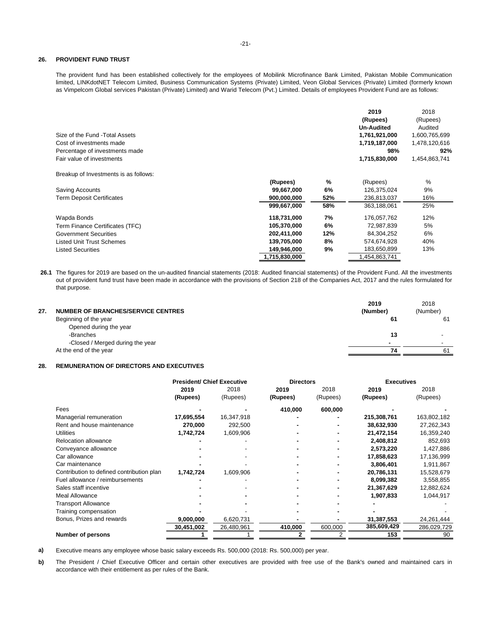#### **26. PROVIDENT FUND TRUST**

The provident fund has been established collectively for the employees of Mobilink Microfinance Bank Limited, Pakistan Mobile Communication limited, LINKdotNET Telecom Limited, Business Communication Systems (Private) Limited, Veon Global Services (Private) Limited (formerly known as Vimpelcom Global services Pakistan (Private) Limited) and Warid Telecom (Pvt.) Limited. Details of employees Provident Fund are as follows:

|                                       |               |     | 2019              | 2018          |
|---------------------------------------|---------------|-----|-------------------|---------------|
|                                       |               |     | (Rupees)          | (Rupees)      |
|                                       |               |     | <b>Un-Audited</b> | Audited       |
| Size of the Fund - Total Assets       |               |     | 1,761,921,000     | 1,600,765,699 |
| Cost of investments made              |               |     | 1,719,187,000     | 1,478,120,616 |
| Percentage of investments made        |               |     | 98%               | 92%           |
| Fair value of investments             |               |     | 1,715,830,000     | 1,454,863,741 |
| Breakup of Investments is as follows: |               |     |                   |               |
|                                       | (Rupees)      | %   | (Rupees)          | $\%$          |
| Saving Accounts                       | 99,667,000    | 6%  | 126,375,024       | 9%            |
| <b>Term Deposit Certificates</b>      | 900,000,000   | 52% | 236,813,037       | 16%           |
|                                       | 999,667,000   | 58% | 363,188,061       | 25%           |
| Wapda Bonds                           | 118,731,000   | 7%  | 176,057,762       | 12%           |
| Term Finance Certificates (TFC)       | 105,370,000   | 6%  | 72,987,839        | 5%            |
| <b>Government Securities</b>          | 202,411,000   | 12% | 84,304,252        | 6%            |
| <b>Listed Unit Trust Schemes</b>      | 139,705,000   | 8%  | 574,674,928       | 40%           |
| <b>Listed Securities</b>              | 149,946,000   | 9%  | 183,650,899       | 13%           |
|                                       | 1,715,830,000 |     | 1.454.863.741     |               |

**26.1** The figures for 2019 are based on the un-audited financial statements (2018: Audited financial statements) of the Provident Fund. All the investments out of provident fund trust have been made in accordance with the provisions of Section 218 of the Companies Act, 2017 and the rules formulated for that purpose.

| 27. | NUMBER OF BRANCHES/SERVICE CENTRES | 2019<br>(Number) | 2018<br>(Number) |
|-----|------------------------------------|------------------|------------------|
|     | Beginning of the year              | 61               | 61               |
|     | Opened during the year             |                  |                  |
|     | -Branches                          | 13               |                  |
|     | -Closed / Merged during the year   |                  |                  |
|     | At the end of the year             | 74               | 61               |

#### **28. REMUNERATION OF DIRECTORS AND EXECUTIVES**

|                                           | <b>President/ Chief Executive</b> |            | <b>Directors</b> |          | <b>Executives</b> |             |
|-------------------------------------------|-----------------------------------|------------|------------------|----------|-------------------|-------------|
|                                           | 2019                              | 2018       | 2019             | 2018     | 2019              | 2018        |
|                                           | (Rupees)                          | (Rupees)   | (Rupees)         | (Rupees) | (Rupees)          | (Rupees)    |
| Fees                                      |                                   |            | 410,000          | 600,000  |                   |             |
| Managerial remuneration                   | 17,695,554                        | 16,347,918 |                  |          | 215,308,761       | 163,802,182 |
| Rent and house maintenance                | 270,000                           | 292,500    |                  |          | 38,632,930        | 27,262,343  |
| <b>Utilities</b>                          | 1,742,724                         | 1,609,906  |                  |          | 21,472,154        | 16,359,240  |
| Relocation allowance                      |                                   |            |                  |          | 2,408,812         | 852,693     |
| Conveyance allowance                      |                                   |            |                  |          | 2,573,220         | 1,427,886   |
| Car allowance                             |                                   |            |                  |          | 17,858,623        | 17,136,999  |
| Car maintenance                           |                                   |            |                  |          | 3,806,401         | 1,911,867   |
| Contribution to defined contribution plan | 1,742,724                         | 1,609,906  |                  |          | 20,786,131        | 15,528,679  |
| Fuel allowance / reimbursements           |                                   |            |                  |          | 8,099,382         | 3,558,855   |
| Sales staff incentive                     |                                   |            |                  |          | 21,367,629        | 12,882,624  |
| Meal Allowance                            |                                   |            |                  |          | 1,907,833         | 1,044,917   |
| <b>Transport Allowance</b>                |                                   |            |                  |          |                   |             |
| Training compensation                     |                                   |            |                  |          |                   |             |
| Bonus, Prizes and rewards                 | 9,000,000                         | 6,620,731  |                  |          | 31,387,553        | 24,261,444  |
|                                           | 30,451,002                        | 26,480,961 | 410,000          | 600,000  | 385,609,429       | 286,029,729 |
| Number of persons                         |                                   |            |                  |          | 153               | 90          |

**a)** Executive means any employee whose basic salary exceeds Rs. 500,000 (2018: Rs. 500,000) per year.

**b)** The President / Chief Executive Officer and certain other executives are provided with free use of the Bank's owned and maintained cars in accordance with their entitlement as per rules of the Bank.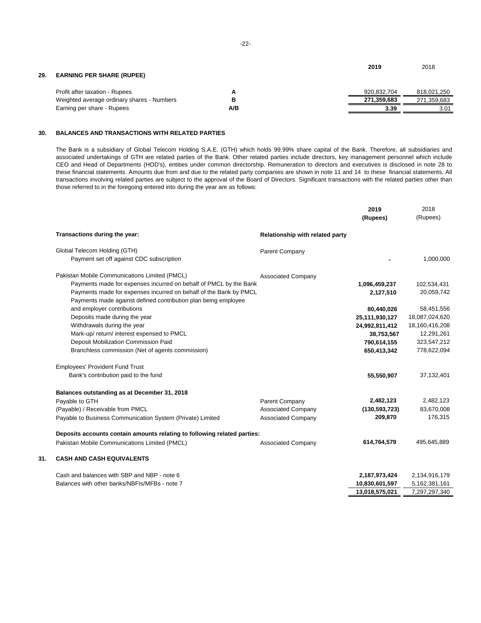| 29. | <b>EARNING PER SHARE (RUPEE)</b>           |     | 2019        | 2018        |
|-----|--------------------------------------------|-----|-------------|-------------|
|     | Profit after taxation - Rupees             |     | 920.832.704 | 818,021,250 |
|     | Weighted average ordinary shares - Numbers |     | 271.359.683 | 271,359,683 |
|     | Earning per share - Rupees                 | A/B | 3.39        | 3.01        |

#### **30. BALANCES AND TRANSACTIONS WITH RELATED PARTIES**

The Bank is a subsidiary of Global Telecom Holding S.A.E. (GTH) which holds 99.99% share capital of the Bank. Therefore, all subsidiaries and associated undertakings of GTH are related parties of the Bank. Other related parties include directors, key management personnel which include CEO and Head of Departments (HOD's), entities under common directorship. Remuneration to directors and executives is disclosed in note 28 to these financial statements. Amounts due from and due to the related party companies are shown in note 11 and 14 to these financial statements. All transactions involving related parties are subject to the approval of the Board of Directors. Significant transactions with the related parties other than those referred to in the foregoing entered into during the year are as follows:

|     |                                                                                                                                     |                                 | 2019<br>(Rupees) | 2018<br>(Rupees) |
|-----|-------------------------------------------------------------------------------------------------------------------------------------|---------------------------------|------------------|------------------|
|     | Transactions during the year:                                                                                                       | Relationship with related party |                  |                  |
|     | Global Telecom Holding (GTH)                                                                                                        | Parent Company                  |                  |                  |
|     | Payment set off against CDC subscription                                                                                            |                                 |                  | 1,000,000        |
|     | Pakistan Mobile Communications Limited (PMCL)                                                                                       | <b>Associated Company</b>       |                  |                  |
|     | Payments made for expenses incurred on behalf of PMCL by the Bank                                                                   |                                 | 1,096,459,237    | 102,534,431      |
|     | Payments made for expenses incurred on behalf of the Bank by PMCL<br>Payments made against defined contribution plan being employee |                                 | 2,127,510        | 20,059,742       |
|     | and employer contributions                                                                                                          |                                 | 80,440,026       | 58,451,556       |
|     | Deposits made during the year                                                                                                       |                                 | 25,111,930,127   | 18,087,024,620   |
|     | Withdrawals during the year                                                                                                         |                                 | 24,992,811,412   | 18,160,416,208   |
|     | Mark-up/ return/ interest expensed to PMCL                                                                                          |                                 | 38,753,567       | 12,291,261       |
|     | Deposit Mobilization Commission Paid                                                                                                |                                 | 790,614,155      | 323,547,212      |
|     | Branchless commission (Net of agents commission)                                                                                    |                                 | 650,413,342      | 778,622,094      |
|     | <b>Employees' Provident Fund Trust</b>                                                                                              |                                 |                  |                  |
|     | Bank's contribution paid to the fund                                                                                                |                                 | 55,550,907       | 37,132,401       |
|     | Balances outstanding as at December 31, 2018                                                                                        |                                 |                  |                  |
|     | Payable to GTH                                                                                                                      | Parent Company                  | 2,482,123        | 2,482,123        |
|     | (Payable) / Receivable from PMCL                                                                                                    | <b>Associated Company</b>       | (130, 593, 723)  | 83,670,008       |
|     | Payable to Business Communication System (Private) Limited                                                                          | <b>Associated Company</b>       | 209,870          | 176,315          |
|     | Deposits accounts contain amounts relating to following related parties:                                                            |                                 |                  |                  |
|     | Pakistan Mobile Communications Limited (PMCL)                                                                                       | <b>Associated Company</b>       | 614,764,579      | 495,645,889      |
| 31. | <b>CASH AND CASH EQUIVALENTS</b>                                                                                                    |                                 |                  |                  |
|     | Cash and balances with SBP and NBP - note 6                                                                                         |                                 | 2,187,973,424    | 2,134,916,179    |
|     | Balances with other banks/NBFIs/MFBs - note 7                                                                                       |                                 | 10,830,601,597   | 5,162,381,161    |
|     |                                                                                                                                     |                                 | 13.018.575.021   | 7,297,297,340    |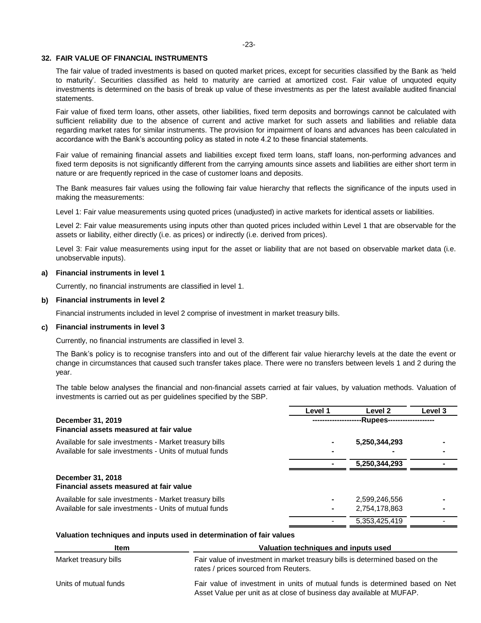#### **32. FAIR VALUE OF FINANCIAL INSTRUMENTS**

The fair value of traded investments is based on quoted market prices, except for securities classified by the Bank as 'held to maturity'. Securities classified as held to maturity are carried at amortized cost. Fair value of unquoted equity investments is determined on the basis of break up value of these investments as per the latest available audited financial statements.

Fair value of fixed term loans, other assets, other liabilities, fixed term deposits and borrowings cannot be calculated with sufficient reliability due to the absence of current and active market for such assets and liabilities and reliable data regarding market rates for similar instruments. The provision for impairment of loans and advances has been calculated in accordance with the Bank's accounting policy as stated in note 4.2 to these financial statements.

Fair value of remaining financial assets and liabilities except fixed term loans, staff loans, non-performing advances and fixed term deposits is not significantly different from the carrying amounts since assets and liabilities are either short term in nature or are frequently repriced in the case of customer loans and deposits.

The Bank measures fair values using the following fair value hierarchy that reflects the significance of the inputs used in making the measurements:

Level 1: Fair value measurements using quoted prices (unadjusted) in active markets for identical assets or liabilities.

Level 2: Fair value measurements using inputs other than quoted prices included within Level 1 that are observable for the assets or liability, either directly (i.e. as prices) or indirectly (i.e. derived from prices).

Level 3: Fair value measurements using input for the asset or liability that are not based on observable market data (i.e. unobservable inputs).

#### **a) Financial instruments in level 1**

Currently, no financial instruments are classified in level 1.

#### **b) Financial instruments in level 2**

Financial instruments included in level 2 comprise of investment in market treasury bills.

#### **c) Financial instruments in level 3**

Currently, no financial instruments are classified in level 3.

The Bank's policy is to recognise transfers into and out of the different fair value hierarchy levels at the date the event or change in circumstances that caused such transfer takes place. There were no transfers between levels 1 and 2 during the year.

The table below analyses the financial and non-financial assets carried at fair values, by valuation methods. Valuation of investments is carried out as per guidelines specified by the SBP.

|                                                              | Level 1  | Level <sub>2</sub> | Level 3 |  |  |
|--------------------------------------------------------------|----------|--------------------|---------|--|--|
| December 31, 2019<br>Financial assets measured at fair value | -Rupees- |                    |         |  |  |
| Available for sale investments - Market treasury bills       |          | 5,250,344,293      |         |  |  |
| Available for sale investments - Units of mutual funds       |          |                    |         |  |  |
|                                                              |          | 5,250,344,293      |         |  |  |
| December 31, 2018<br>Financial assets measured at fair value |          |                    |         |  |  |
| Available for sale investments - Market treasury bills       |          | 2,599,246,556      |         |  |  |
| Available for sale investments - Units of mutual funds       |          | 2,754,178,863      |         |  |  |
|                                                              |          | 5,353,425,419      |         |  |  |

#### **Valuation techniques and inputs used in determination of fair values**

| <b>Item</b>           | Valuation techniques and inputs used                                                                                                                 |  |  |  |
|-----------------------|------------------------------------------------------------------------------------------------------------------------------------------------------|--|--|--|
| Market treasury bills | Fair value of investment in market treasury bills is determined based on the<br>rates / prices sourced from Reuters.                                 |  |  |  |
| Units of mutual funds | Fair value of investment in units of mutual funds is determined based on Net<br>Asset Value per unit as at close of business day available at MUFAP. |  |  |  |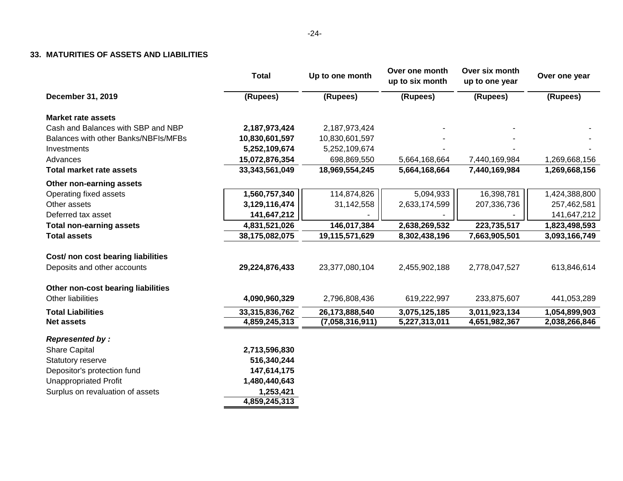#### **33. MATURITIES OF ASSETS AND LIABILITIES**

|                                      | <b>Total</b>   | Up to one month | Over one month<br>up to six month | Over six month<br>up to one year | Over one year |  |
|--------------------------------------|----------------|-----------------|-----------------------------------|----------------------------------|---------------|--|
| December 31, 2019                    | (Rupees)       | (Rupees)        | (Rupees)                          | (Rupees)                         | (Rupees)      |  |
| <b>Market rate assets</b>            |                |                 |                                   |                                  |               |  |
| Cash and Balances with SBP and NBP   | 2,187,973,424  | 2,187,973,424   |                                   |                                  |               |  |
| Balances with other Banks/NBFIs/MFBs | 10,830,601,597 | 10,830,601,597  |                                   |                                  |               |  |
| Investments                          | 5,252,109,674  | 5,252,109,674   |                                   |                                  |               |  |
| Advances                             | 15,072,876,354 | 698,869,550     | 5,664,168,664                     | 7,440,169,984                    | 1,269,668,156 |  |
| <b>Total market rate assets</b>      | 33,343,561,049 | 18,969,554,245  | 5,664,168,664                     | 7,440,169,984                    | 1,269,668,156 |  |
| Other non-earning assets             |                |                 |                                   |                                  |               |  |
| Operating fixed assets               | 1,560,757,340  | 114,874,826     | 5,094,933                         | 16,398,781                       | 1,424,388,800 |  |
| Other assets                         | 3,129,116,474  | 31,142,558      | 2,633,174,599                     | 207,336,736                      | 257,462,581   |  |
| Deferred tax asset                   | 141,647,212    |                 |                                   |                                  | 141,647,212   |  |
| <b>Total non-earning assets</b>      | 4,831,521,026  | 146,017,384     | 2,638,269,532                     | 223,735,517                      | 1,823,498,593 |  |
| <b>Total assets</b>                  | 38,175,082,075 | 19,115,571,629  | 8,302,438,196                     | 7,663,905,501                    | 3,093,166,749 |  |
| Cost/ non cost bearing liabilities   |                |                 |                                   |                                  |               |  |
| Deposits and other accounts          | 29,224,876,433 | 23,377,080,104  | 2,455,902,188                     | 2,778,047,527                    | 613,846,614   |  |
| Other non-cost bearing liabilities   |                |                 |                                   |                                  |               |  |
| <b>Other liabilities</b>             | 4,090,960,329  | 2,796,808,436   | 619,222,997                       | 233,875,607                      | 441,053,289   |  |
| <b>Total Liabilities</b>             | 33,315,836,762 | 26,173,888,540  | 3,075,125,185                     | 3,011,923,134                    | 1,054,899,903 |  |
| <b>Net assets</b>                    | 4,859,245,313  | (7,058,316,911) | 5,227,313,011                     | 4,651,982,367                    | 2,038,266,846 |  |
| <b>Represented by:</b>               |                |                 |                                   |                                  |               |  |
| <b>Share Capital</b>                 | 2,713,596,830  |                 |                                   |                                  |               |  |
| Statutory reserve                    | 516,340,244    |                 |                                   |                                  |               |  |
| Depositor's protection fund          | 147,614,175    |                 |                                   |                                  |               |  |
| <b>Unappropriated Profit</b>         | 1,480,440,643  |                 |                                   |                                  |               |  |
| Surplus on revaluation of assets     | 1,253,421      |                 |                                   |                                  |               |  |
|                                      | 4,859,245,313  |                 |                                   |                                  |               |  |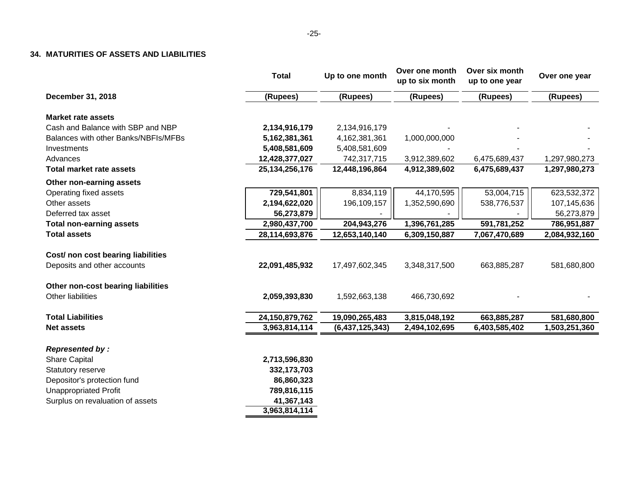#### **34. MATURITIES OF ASSETS AND LIABILITIES**

|                                      | <b>Total</b>      | Up to one month | Over one month<br>up to six month | Over six month<br>up to one year | Over one year |
|--------------------------------------|-------------------|-----------------|-----------------------------------|----------------------------------|---------------|
| December 31, 2018                    | (Rupees)          | (Rupees)        | (Rupees)                          | (Rupees)                         | (Rupees)      |
| <b>Market rate assets</b>            |                   |                 |                                   |                                  |               |
| Cash and Balance with SBP and NBP    | 2,134,916,179     | 2,134,916,179   |                                   |                                  |               |
| Balances with other Banks/NBFIs/MFBs | 5,162,381,361     | 4,162,381,361   | 1,000,000,000                     |                                  |               |
| Investments                          | 5,408,581,609     | 5,408,581,609   |                                   |                                  |               |
| Advances                             | 12,428,377,027    | 742,317,715     | 3,912,389,602                     | 6,475,689,437                    | 1,297,980,273 |
| <b>Total market rate assets</b>      | 25, 134, 256, 176 | 12,448,196,864  | 4,912,389,602                     | 6,475,689,437                    | 1,297,980,273 |
| Other non-earning assets             |                   |                 |                                   |                                  |               |
| Operating fixed assets               | 729,541,801       | 8,834,119       | 44,170,595                        | 53,004,715                       | 623,532,372   |
| Other assets                         | 2,194,622,020     | 196,109,157     | 1,352,590,690                     | 538,776,537                      | 107,145,636   |
| Deferred tax asset                   | 56,273,879        |                 |                                   |                                  | 56,273,879    |
| <b>Total non-earning assets</b>      | 2,980,437,700     | 204,943,276     | 1,396,761,285                     | 591,781,252                      | 786,951,887   |
| <b>Total assets</b>                  | 28,114,693,876    | 12,653,140,140  | 6,309,150,887                     | 7,067,470,689                    | 2,084,932,160 |
| Cost/ non cost bearing liabilities   |                   |                 |                                   |                                  |               |
| Deposits and other accounts          | 22,091,485,932    | 17,497,602,345  | 3,348,317,500                     | 663,885,287                      | 581,680,800   |
| Other non-cost bearing liabilities   |                   |                 |                                   |                                  |               |
| Other liabilities                    | 2,059,393,830     | 1,592,663,138   | 466,730,692                       |                                  |               |
| <b>Total Liabilities</b>             | 24,150,879,762    | 19,090,265,483  | 3,815,048,192                     | 663,885,287                      | 581,680,800   |
| <b>Net assets</b>                    | 3,963,814,114     | (6,437,125,343) | 2,494,102,695                     | 6,403,585,402                    | 1,503,251,360 |
| <b>Represented by:</b>               |                   |                 |                                   |                                  |               |
| <b>Share Capital</b>                 | 2,713,596,830     |                 |                                   |                                  |               |
| Statutory reserve                    | 332, 173, 703     |                 |                                   |                                  |               |
| Depositor's protection fund          | 86,860,323        |                 |                                   |                                  |               |
| <b>Unappropriated Profit</b>         | 789,816,115       |                 |                                   |                                  |               |
| Surplus on revaluation of assets     | 41,367,143        |                 |                                   |                                  |               |
|                                      | 3,963,814,114     |                 |                                   |                                  |               |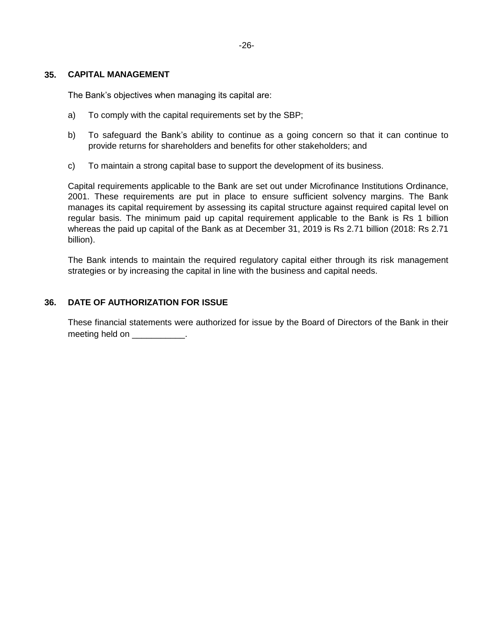## **35. CAPITAL MANAGEMENT**

The Bank's objectives when managing its capital are:

- a) To comply with the capital requirements set by the SBP;
- b) To safeguard the Bank's ability to continue as a going concern so that it can continue to provide returns for shareholders and benefits for other stakeholders; and
- c) To maintain a strong capital base to support the development of its business.

Capital requirements applicable to the Bank are set out under Microfinance Institutions Ordinance, 2001. These requirements are put in place to ensure sufficient solvency margins. The Bank manages its capital requirement by assessing its capital structure against required capital level on regular basis. The minimum paid up capital requirement applicable to the Bank is Rs 1 billion whereas the paid up capital of the Bank as at December 31, 2019 is Rs 2.71 billion (2018: Rs 2.71 billion).

The Bank intends to maintain the required regulatory capital either through its risk management strategies or by increasing the capital in line with the business and capital needs.

## **36. DATE OF AUTHORIZATION FOR ISSUE**

These financial statements were authorized for issue by the Board of Directors of the Bank in their meeting held on Theorem and Theorem is not all the meeting held on  $\sim$